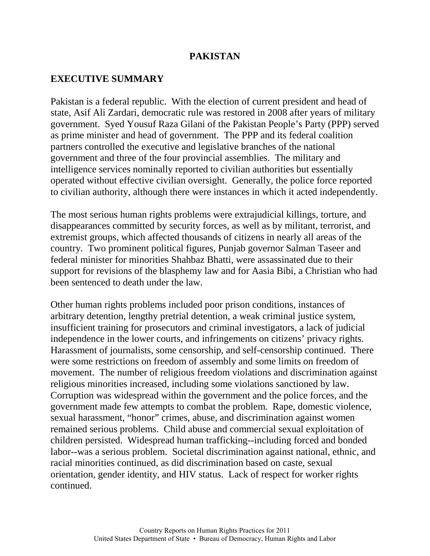### **EXECUTIVE SUMMARY**

Pakistan is a federal republic. With the election of current president and head of state, Asif Ali Zardari, democratic rule was restored in 2008 after years of military government. Syed Yousuf Raza Gilani of the Pakistan People's Party (PPP) served as prime minister and head of government. The PPP and its federal coalition partners controlled the executive and legislative branches of the national government and three of the four provincial assemblies. The military and intelligence services nominally reported to civilian authorities but essentially operated without effective civilian oversight. Generally, the police force reported to civilian authority, although there were instances in which it acted independently.

The most serious human rights problems were extrajudicial killings, torture, and disappearances committed by security forces, as well as by militant, terrorist, and extremist groups, which affected thousands of citizens in nearly all areas of the country. Two prominent political figures, Punjab governor Salman Taseer and federal minister for minorities Shahbaz Bhatti, were assassinated due to their support for revisions of the blasphemy law and for Aasia Bibi, a Christian who had been sentenced to death under the law.

Other human rights problems included poor prison conditions, instances of arbitrary detention, lengthy pretrial detention, a weak criminal justice system, insufficient training for prosecutors and criminal investigators, a lack of judicial independence in the lower courts, and infringements on citizens' privacy rights. Harassment of journalists, some censorship, and self-censorship continued. There were some restrictions on freedom of assembly and some limits on freedom of movement. The number of religious freedom violations and discrimination against religious minorities increased, including some violations sanctioned by law. Corruption was widespread within the government and the police forces, and the government made few attempts to combat the problem. Rape, domestic violence, sexual harassment, "honor" crimes, abuse, and discrimination against women remained serious problems. Child abuse and commercial sexual exploitation of children persisted. Widespread human trafficking--including forced and bonded labor--was a serious problem. Societal discrimination against national, ethnic, and racial minorities continued, as did discrimination based on caste, sexual orientation, gender identity, and HIV status. Lack of respect for worker rights continued.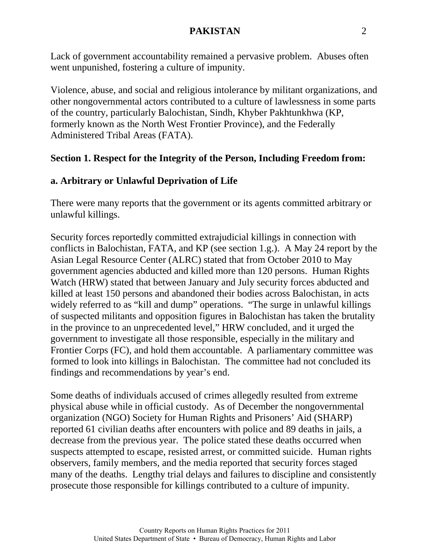Lack of government accountability remained a pervasive problem. Abuses often went unpunished, fostering a culture of impunity.

Violence, abuse, and social and religious intolerance by militant organizations, and other nongovernmental actors contributed to a culture of lawlessness in some parts of the country, particularly Balochistan, Sindh, Khyber Pakhtunkhwa (KP, formerly known as the North West Frontier Province), and the Federally Administered Tribal Areas (FATA).

# **Section 1. Respect for the Integrity of the Person, Including Freedom from:**

# **a. Arbitrary or Unlawful Deprivation of Life**

There were many reports that the government or its agents committed arbitrary or unlawful killings.

Security forces reportedly committed extrajudicial killings in connection with conflicts in Balochistan, FATA, and KP (see section 1.g.). A May 24 report by the Asian Legal Resource Center (ALRC) stated that from October 2010 to May government agencies abducted and killed more than 120 persons. Human Rights Watch (HRW) stated that between January and July security forces abducted and killed at least 150 persons and abandoned their bodies across Balochistan, in acts widely referred to as "kill and dump" operations. "The surge in unlawful killings of suspected militants and opposition figures in Balochistan has taken the brutality in the province to an unprecedented level," HRW concluded, and it urged the government to investigate all those responsible, especially in the military and Frontier Corps (FC), and hold them accountable. A parliamentary committee was formed to look into killings in Balochistan. The committee had not concluded its findings and recommendations by year's end.

Some deaths of individuals accused of crimes allegedly resulted from extreme physical abuse while in official custody. As of December the nongovernmental organization (NGO) Society for Human Rights and Prisoners' Aid (SHARP) reported 61 civilian deaths after encounters with police and 89 deaths in jails, a decrease from the previous year. The police stated these deaths occurred when suspects attempted to escape, resisted arrest, or committed suicide. Human rights observers, family members, and the media reported that security forces staged many of the deaths. Lengthy trial delays and failures to discipline and consistently prosecute those responsible for killings contributed to a culture of impunity.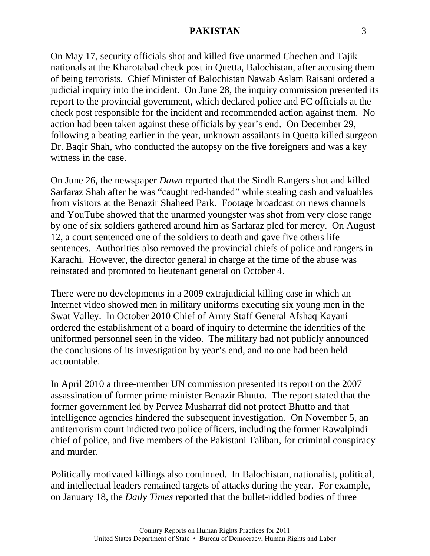On May 17, security officials shot and killed five unarmed Chechen and Tajik nationals at the Kharotabad check post in Quetta, Balochistan, after accusing them of being terrorists. Chief Minister of Balochistan Nawab Aslam Raisani ordered a judicial inquiry into the incident. On June 28, the inquiry commission presented its report to the provincial government, which declared police and FC officials at the check post responsible for the incident and recommended action against them. No action had been taken against these officials by year's end. On December 29, following a beating earlier in the year, unknown assailants in Quetta killed surgeon Dr. Baqir Shah, who conducted the autopsy on the five foreigners and was a key witness in the case.

On June 26, the newspaper *Dawn* reported that the Sindh Rangers shot and killed Sarfaraz Shah after he was "caught red-handed" while stealing cash and valuables from visitors at the Benazir Shaheed Park. Footage broadcast on news channels and YouTube showed that the unarmed youngster was shot from very close range by one of six soldiers gathered around him as Sarfaraz pled for mercy. On August 12, a court sentenced one of the soldiers to death and gave five others life sentences. Authorities also removed the provincial chiefs of police and rangers in Karachi. However, the director general in charge at the time of the abuse was reinstated and promoted to lieutenant general on October 4.

There were no developments in a 2009 extrajudicial killing case in which an Internet video showed men in military uniforms executing six young men in the Swat Valley. In October 2010 Chief of Army Staff General Afshaq Kayani ordered the establishment of a board of inquiry to determine the identities of the uniformed personnel seen in the video. The military had not publicly announced the conclusions of its investigation by year's end, and no one had been held accountable.

In April 2010 a three-member UN commission presented its report on the 2007 assassination of former prime minister Benazir Bhutto. The report stated that the former government led by Pervez Musharraf did not protect Bhutto and that intelligence agencies hindered the subsequent investigation. On November 5, an antiterrorism court indicted two police officers, including the former Rawalpindi chief of police, and five members of the Pakistani Taliban, for criminal conspiracy and murder.

Politically motivated killings also continued. In Balochistan, nationalist, political, and intellectual leaders remained targets of attacks during the year. For example, on January 18, the *Daily Times* reported that the bullet-riddled bodies of three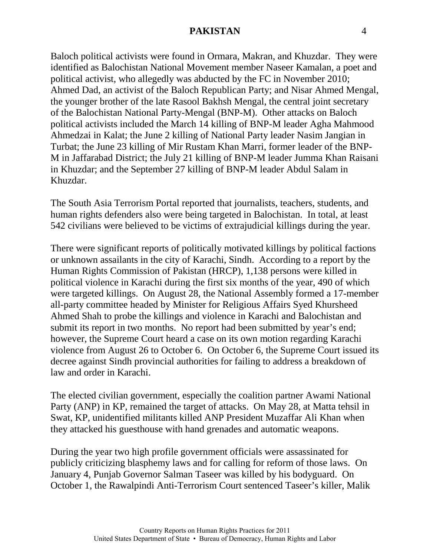Baloch political activists were found in Ormara, Makran, and Khuzdar. They were identified as Balochistan National Movement member Naseer Kamalan, a poet and political activist, who allegedly was abducted by the FC in November 2010; Ahmed Dad, an activist of the Baloch Republican Party; and Nisar Ahmed Mengal, the younger brother of the late Rasool Bakhsh Mengal, the central joint secretary of the Balochistan National Party-Mengal (BNP-M). Other attacks on Baloch political activists included the March 14 killing of BNP-M leader Agha Mahmood Ahmedzai in Kalat; the June 2 killing of National Party leader Nasim Jangian in Turbat; the June 23 killing of Mir Rustam Khan Marri, former leader of the BNP-M in Jaffarabad District; the July 21 killing of BNP-M leader Jumma Khan Raisani in Khuzdar; and the September 27 killing of BNP-M leader Abdul Salam in Khuzdar.

The South Asia Terrorism Portal reported that journalists, teachers, students, and human rights defenders also were being targeted in Balochistan. In total, at least 542 civilians were believed to be victims of extrajudicial killings during the year.

There were significant reports of politically motivated killings by political factions or unknown assailants in the city of Karachi, Sindh. According to a report by the Human Rights Commission of Pakistan (HRCP), 1,138 persons were killed in political violence in Karachi during the first six months of the year, 490 of which were targeted killings. On August 28, the National Assembly formed a 17-member all-party committee headed by Minister for Religious Affairs Syed Khursheed Ahmed Shah to probe the killings and violence in Karachi and Balochistan and submit its report in two months. No report had been submitted by year's end; however, the Supreme Court heard a case on its own motion regarding Karachi violence from August 26 to October 6. On October 6, the Supreme Court issued its decree against Sindh provincial authorities for failing to address a breakdown of law and order in Karachi.

The elected civilian government, especially the coalition partner Awami National Party (ANP) in KP, remained the target of attacks. On May 28, at Matta tehsil in Swat, KP, unidentified militants killed ANP President Muzaffar Ali Khan when they attacked his guesthouse with hand grenades and automatic weapons.

During the year two high profile government officials were assassinated for publicly criticizing blasphemy laws and for calling for reform of those laws. On January 4, Punjab Governor Salman Taseer was killed by his bodyguard. On October 1, the Rawalpindi Anti-Terrorism Court sentenced Taseer's killer, Malik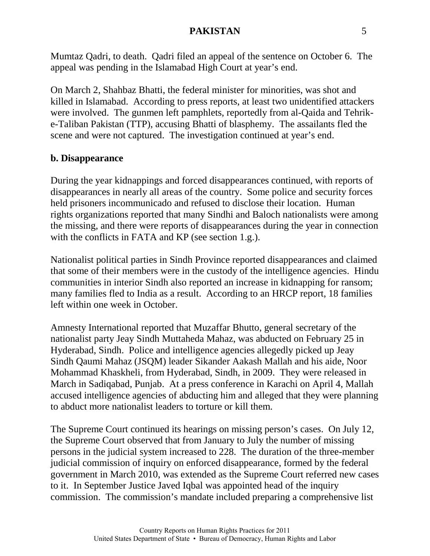Mumtaz Qadri, to death. Qadri filed an appeal of the sentence on October 6. The appeal was pending in the Islamabad High Court at year's end.

On March 2, Shahbaz Bhatti, the federal minister for minorities, was shot and killed in Islamabad. According to press reports, at least two unidentified attackers were involved. The gunmen left pamphlets, reportedly from al-Qaida and Tehrike-Taliban Pakistan (TTP), accusing Bhatti of blasphemy. The assailants fled the scene and were not captured. The investigation continued at year's end.

#### **b. Disappearance**

During the year kidnappings and forced disappearances continued, with reports of disappearances in nearly all areas of the country. Some police and security forces held prisoners incommunicado and refused to disclose their location. Human rights organizations reported that many Sindhi and Baloch nationalists were among the missing, and there were reports of disappearances during the year in connection with the conflicts in FATA and KP (see section 1.g.).

Nationalist political parties in Sindh Province reported disappearances and claimed that some of their members were in the custody of the intelligence agencies. Hindu communities in interior Sindh also reported an increase in kidnapping for ransom; many families fled to India as a result. According to an HRCP report, 18 families left within one week in October.

Amnesty International reported that Muzaffar Bhutto, general secretary of the nationalist party Jeay Sindh Muttaheda Mahaz, was abducted on February 25 in Hyderabad, Sindh. Police and intelligence agencies allegedly picked up Jeay Sindh Qaumi Mahaz (JSQM) leader Sikander Aakash Mallah and his aide, Noor Mohammad Khaskheli, from Hyderabad, Sindh, in 2009. They were released in March in Sadiqabad, Punjab. At a press conference in Karachi on April 4, Mallah accused intelligence agencies of abducting him and alleged that they were planning to abduct more nationalist leaders to torture or kill them.

The Supreme Court continued its hearings on missing person's cases. On July 12, the Supreme Court observed that from January to July the number of missing persons in the judicial system increased to 228. The duration of the three-member judicial commission of inquiry on enforced disappearance, formed by the federal government in March 2010, was extended as the Supreme Court referred new cases to it. In September Justice Javed Iqbal was appointed head of the inquiry commission. The commission's mandate included preparing a comprehensive list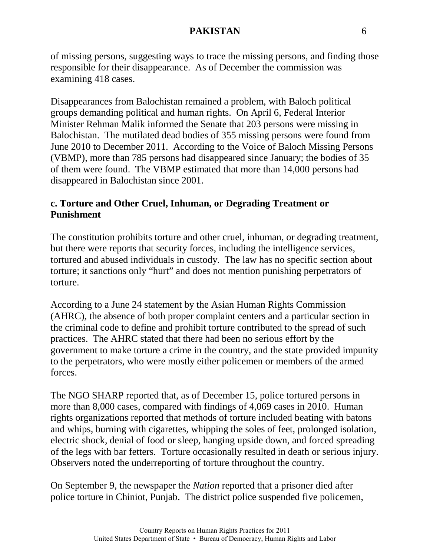of missing persons, suggesting ways to trace the missing persons, and finding those responsible for their disappearance. As of December the commission was examining 418 cases.

Disappearances from Balochistan remained a problem, with Baloch political groups demanding political and human rights. On April 6, Federal Interior Minister Rehman Malik informed the Senate that 203 persons were missing in Balochistan. The mutilated dead bodies of 355 missing persons were found from June 2010 to December 2011. According to the Voice of Baloch Missing Persons (VBMP), more than 785 persons had disappeared since January; the bodies of 35 of them were found. The VBMP estimated that more than 14,000 persons had disappeared in Balochistan since 2001.

# **c. Torture and Other Cruel, Inhuman, or Degrading Treatment or Punishment**

The constitution prohibits torture and other cruel, inhuman, or degrading treatment, but there were reports that security forces, including the intelligence services, tortured and abused individuals in custody. The law has no specific section about torture; it sanctions only "hurt" and does not mention punishing perpetrators of torture.

According to a June 24 statement by the Asian Human Rights Commission (AHRC), the absence of both proper complaint centers and a particular section in the criminal code to define and prohibit torture contributed to the spread of such practices. The AHRC stated that there had been no serious effort by the government to make torture a crime in the country, and the state provided impunity to the perpetrators, who were mostly either policemen or members of the armed forces.

The NGO SHARP reported that, as of December 15, police tortured persons in more than 8,000 cases, compared with findings of 4,069 cases in 2010. Human rights organizations reported that methods of torture included beating with batons and whips, burning with cigarettes, whipping the soles of feet, prolonged isolation, electric shock, denial of food or sleep, hanging upside down, and forced spreading of the legs with bar fetters. Torture occasionally resulted in death or serious injury. Observers noted the underreporting of torture throughout the country.

On September 9, the newspaper the *Nation* reported that a prisoner died after police torture in Chiniot, Punjab. The district police suspended five policemen,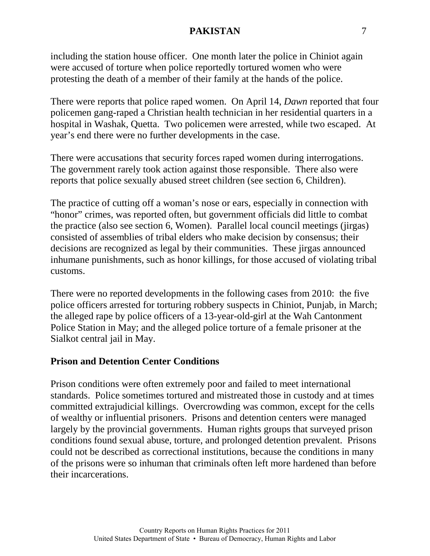including the station house officer. One month later the police in Chiniot again were accused of torture when police reportedly tortured women who were protesting the death of a member of their family at the hands of the police.

There were reports that police raped women. On April 14, *Dawn* reported that four policemen gang-raped a Christian health technician in her residential quarters in a hospital in Washak, Quetta. Two policemen were arrested, while two escaped. At year's end there were no further developments in the case.

There were accusations that security forces raped women during interrogations. The government rarely took action against those responsible. There also were reports that police sexually abused street children (see section 6, Children).

The practice of cutting off a woman's nose or ears, especially in connection with "honor" crimes, was reported often, but government officials did little to combat the practice (also see section 6, Women). Parallel local council meetings (jirgas) consisted of assemblies of tribal elders who make decision by consensus; their decisions are recognized as legal by their communities. These jirgas announced inhumane punishments, such as honor killings, for those accused of violating tribal customs.

There were no reported developments in the following cases from 2010: the five police officers arrested for torturing robbery suspects in Chiniot, Punjab, in March; the alleged rape by police officers of a 13-year-old-girl at the Wah Cantonment Police Station in May; and the alleged police torture of a female prisoner at the Sialkot central jail in May.

### **Prison and Detention Center Conditions**

Prison conditions were often extremely poor and failed to meet international standards. Police sometimes tortured and mistreated those in custody and at times committed extrajudicial killings. Overcrowding was common, except for the cells of wealthy or influential prisoners. Prisons and detention centers were managed largely by the provincial governments. Human rights groups that surveyed prison conditions found sexual abuse, torture, and prolonged detention prevalent. Prisons could not be described as correctional institutions, because the conditions in many of the prisons were so inhuman that criminals often left more hardened than before their incarcerations.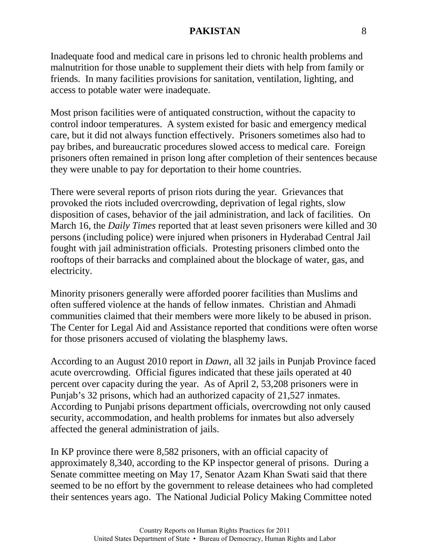Inadequate food and medical care in prisons led to chronic health problems and malnutrition for those unable to supplement their diets with help from family or friends. In many facilities provisions for sanitation, ventilation, lighting, and access to potable water were inadequate.

Most prison facilities were of antiquated construction, without the capacity to control indoor temperatures. A system existed for basic and emergency medical care, but it did not always function effectively. Prisoners sometimes also had to pay bribes, and bureaucratic procedures slowed access to medical care. Foreign prisoners often remained in prison long after completion of their sentences because they were unable to pay for deportation to their home countries.

There were several reports of prison riots during the year. Grievances that provoked the riots included overcrowding, deprivation of legal rights, slow disposition of cases, behavior of the jail administration, and lack of facilities. On March 16, the *Daily Times* reported that at least seven prisoners were killed and 30 persons (including police) were injured when prisoners in Hyderabad Central Jail fought with jail administration officials. Protesting prisoners climbed onto the rooftops of their barracks and complained about the blockage of water, gas, and electricity.

Minority prisoners generally were afforded poorer facilities than Muslims and often suffered violence at the hands of fellow inmates. Christian and Ahmadi communities claimed that their members were more likely to be abused in prison. The Center for Legal Aid and Assistance reported that conditions were often worse for those prisoners accused of violating the blasphemy laws.

According to an August 2010 report in *Dawn*, all 32 jails in Punjab Province faced acute overcrowding. Official figures indicated that these jails operated at 40 percent over capacity during the year. As of April 2, 53,208 prisoners were in Punjab's 32 prisons, which had an authorized capacity of 21,527 inmates. According to Punjabi prisons department officials, overcrowding not only caused security, accommodation, and health problems for inmates but also adversely affected the general administration of jails.

In KP province there were 8,582 prisoners, with an official capacity of approximately 8,340, according to the KP inspector general of prisons. During a Senate committee meeting on May 17, Senator Azam Khan Swati said that there seemed to be no effort by the government to release detainees who had completed their sentences years ago. The National Judicial Policy Making Committee noted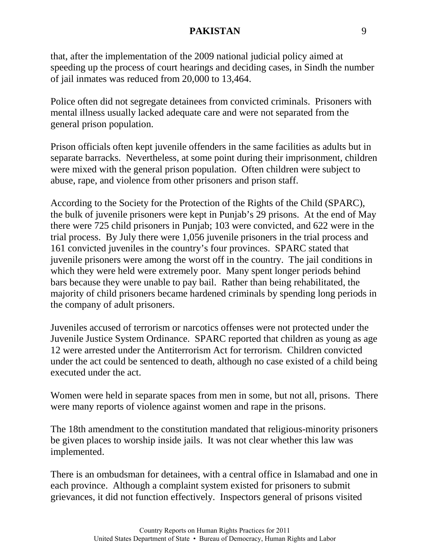that, after the implementation of the 2009 national judicial policy aimed at speeding up the process of court hearings and deciding cases, in Sindh the number of jail inmates was reduced from 20,000 to 13,464.

Police often did not segregate detainees from convicted criminals. Prisoners with mental illness usually lacked adequate care and were not separated from the general prison population.

Prison officials often kept juvenile offenders in the same facilities as adults but in separate barracks. Nevertheless, at some point during their imprisonment, children were mixed with the general prison population. Often children were subject to abuse, rape, and violence from other prisoners and prison staff.

According to the Society for the Protection of the Rights of the Child (SPARC), the bulk of juvenile prisoners were kept in Punjab's 29 prisons. At the end of May there were 725 child prisoners in Punjab; 103 were convicted, and 622 were in the trial process. By July there were 1,056 juvenile prisoners in the trial process and 161 convicted juveniles in the country's four provinces. SPARC stated that juvenile prisoners were among the worst off in the country. The jail conditions in which they were held were extremely poor. Many spent longer periods behind bars because they were unable to pay bail. Rather than being rehabilitated, the majority of child prisoners became hardened criminals by spending long periods in the company of adult prisoners.

Juveniles accused of terrorism or narcotics offenses were not protected under the Juvenile Justice System Ordinance. SPARC reported that children as young as age 12 were arrested under the Antiterrorism Act for terrorism. Children convicted under the act could be sentenced to death, although no case existed of a child being executed under the act.

Women were held in separate spaces from men in some, but not all, prisons. There were many reports of violence against women and rape in the prisons.

The 18th amendment to the constitution mandated that religious-minority prisoners be given places to worship inside jails. It was not clear whether this law was implemented.

There is an ombudsman for detainees, with a central office in Islamabad and one in each province. Although a complaint system existed for prisoners to submit grievances, it did not function effectively. Inspectors general of prisons visited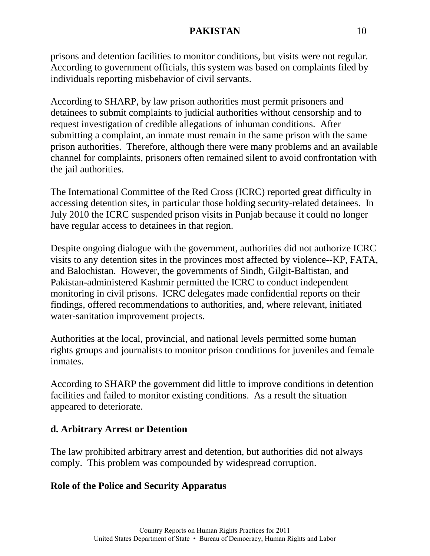prisons and detention facilities to monitor conditions, but visits were not regular. According to government officials, this system was based on complaints filed by individuals reporting misbehavior of civil servants.

According to SHARP, by law prison authorities must permit prisoners and detainees to submit complaints to judicial authorities without censorship and to request investigation of credible allegations of inhuman conditions. After submitting a complaint, an inmate must remain in the same prison with the same prison authorities. Therefore, although there were many problems and an available channel for complaints, prisoners often remained silent to avoid confrontation with the jail authorities.

The International Committee of the Red Cross (ICRC) reported great difficulty in accessing detention sites, in particular those holding security-related detainees. In July 2010 the ICRC suspended prison visits in Punjab because it could no longer have regular access to detainees in that region.

Despite ongoing dialogue with the government, authorities did not authorize ICRC visits to any detention sites in the provinces most affected by violence--KP, FATA, and Balochistan. However, the governments of Sindh, Gilgit-Baltistan, and Pakistan-administered Kashmir permitted the ICRC to conduct independent monitoring in civil prisons. ICRC delegates made confidential reports on their findings, offered recommendations to authorities, and, where relevant, initiated water-sanitation improvement projects.

Authorities at the local, provincial, and national levels permitted some human rights groups and journalists to monitor prison conditions for juveniles and female inmates.

According to SHARP the government did little to improve conditions in detention facilities and failed to monitor existing conditions. As a result the situation appeared to deteriorate.

# **d. Arbitrary Arrest or Detention**

The law prohibited arbitrary arrest and detention, but authorities did not always comply. This problem was compounded by widespread corruption.

# **Role of the Police and Security Apparatus**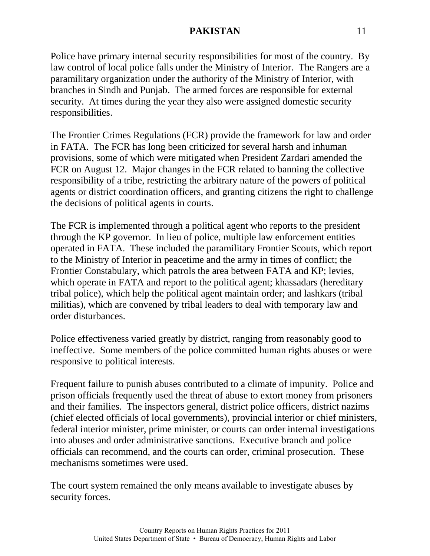Police have primary internal security responsibilities for most of the country. By law control of local police falls under the Ministry of Interior. The Rangers are a paramilitary organization under the authority of the Ministry of Interior, with branches in Sindh and Punjab. The armed forces are responsible for external security. At times during the year they also were assigned domestic security responsibilities.

The Frontier Crimes Regulations (FCR) provide the framework for law and order in FATA. The FCR has long been criticized for several harsh and inhuman provisions, some of which were mitigated when President Zardari amended the FCR on August 12. Major changes in the FCR related to banning the collective responsibility of a tribe, restricting the arbitrary nature of the powers of political agents or district coordination officers, and granting citizens the right to challenge the decisions of political agents in courts.

The FCR is implemented through a political agent who reports to the president through the KP governor. In lieu of police, multiple law enforcement entities operated in FATA. These included the paramilitary Frontier Scouts, which report to the Ministry of Interior in peacetime and the army in times of conflict; the Frontier Constabulary, which patrols the area between FATA and KP; levies, which operate in FATA and report to the political agent; khassadars (hereditary tribal police), which help the political agent maintain order; and lashkars (tribal militias), which are convened by tribal leaders to deal with temporary law and order disturbances.

Police effectiveness varied greatly by district, ranging from reasonably good to ineffective. Some members of the police committed human rights abuses or were responsive to political interests.

Frequent failure to punish abuses contributed to a climate of impunity. Police and prison officials frequently used the threat of abuse to extort money from prisoners and their families. The inspectors general, district police officers, district nazims (chief elected officials of local governments), provincial interior or chief ministers, federal interior minister, prime minister, or courts can order internal investigations into abuses and order administrative sanctions. Executive branch and police officials can recommend, and the courts can order, criminal prosecution. These mechanisms sometimes were used.

The court system remained the only means available to investigate abuses by security forces.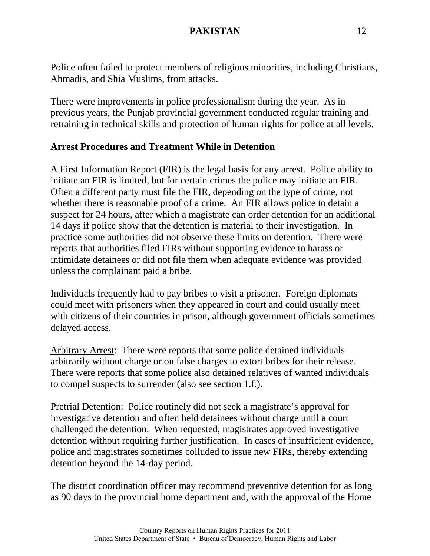Police often failed to protect members of religious minorities, including Christians, Ahmadis, and Shia Muslims, from attacks.

There were improvements in police professionalism during the year. As in previous years, the Punjab provincial government conducted regular training and retraining in technical skills and protection of human rights for police at all levels.

### **Arrest Procedures and Treatment While in Detention**

A First Information Report (FIR) is the legal basis for any arrest. Police ability to initiate an FIR is limited, but for certain crimes the police may initiate an FIR. Often a different party must file the FIR, depending on the type of crime, not whether there is reasonable proof of a crime. An FIR allows police to detain a suspect for 24 hours, after which a magistrate can order detention for an additional 14 days if police show that the detention is material to their investigation. In practice some authorities did not observe these limits on detention. There were reports that authorities filed FIRs without supporting evidence to harass or intimidate detainees or did not file them when adequate evidence was provided unless the complainant paid a bribe.

Individuals frequently had to pay bribes to visit a prisoner. Foreign diplomats could meet with prisoners when they appeared in court and could usually meet with citizens of their countries in prison, although government officials sometimes delayed access.

Arbitrary Arrest: There were reports that some police detained individuals arbitrarily without charge or on false charges to extort bribes for their release. There were reports that some police also detained relatives of wanted individuals to compel suspects to surrender (also see section 1.f.).

Pretrial Detention: Police routinely did not seek a magistrate's approval for investigative detention and often held detainees without charge until a court challenged the detention. When requested, magistrates approved investigative detention without requiring further justification. In cases of insufficient evidence, police and magistrates sometimes colluded to issue new FIRs, thereby extending detention beyond the 14-day period.

The district coordination officer may recommend preventive detention for as long as 90 days to the provincial home department and, with the approval of the Home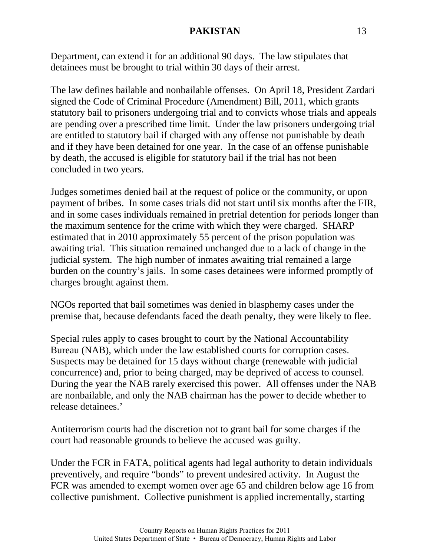Department, can extend it for an additional 90 days. The law stipulates that detainees must be brought to trial within 30 days of their arrest.

The law defines bailable and nonbailable offenses. On April 18, President Zardari signed the Code of Criminal Procedure (Amendment) Bill, 2011, which grants statutory bail to prisoners undergoing trial and to convicts whose trials and appeals are pending over a prescribed time limit. Under the law prisoners undergoing trial are entitled to statutory bail if charged with any offense not punishable by death and if they have been detained for one year. In the case of an offense punishable by death, the accused is eligible for statutory bail if the trial has not been concluded in two years.

Judges sometimes denied bail at the request of police or the community, or upon payment of bribes. In some cases trials did not start until six months after the FIR, and in some cases individuals remained in pretrial detention for periods longer than the maximum sentence for the crime with which they were charged. SHARP estimated that in 2010 approximately 55 percent of the prison population was awaiting trial. This situation remained unchanged due to a lack of change in the judicial system. The high number of inmates awaiting trial remained a large burden on the country's jails. In some cases detainees were informed promptly of charges brought against them.

NGOs reported that bail sometimes was denied in blasphemy cases under the premise that, because defendants faced the death penalty, they were likely to flee.

Special rules apply to cases brought to court by the National Accountability Bureau (NAB), which under the law established courts for corruption cases. Suspects may be detained for 15 days without charge (renewable with judicial concurrence) and, prior to being charged, may be deprived of access to counsel. During the year the NAB rarely exercised this power. All offenses under the NAB are nonbailable, and only the NAB chairman has the power to decide whether to release detainees.'

Antiterrorism courts had the discretion not to grant bail for some charges if the court had reasonable grounds to believe the accused was guilty.

Under the FCR in FATA, political agents had legal authority to detain individuals preventively, and require "bonds" to prevent undesired activity. In August the FCR was amended to exempt women over age 65 and children below age 16 from collective punishment. Collective punishment is applied incrementally, starting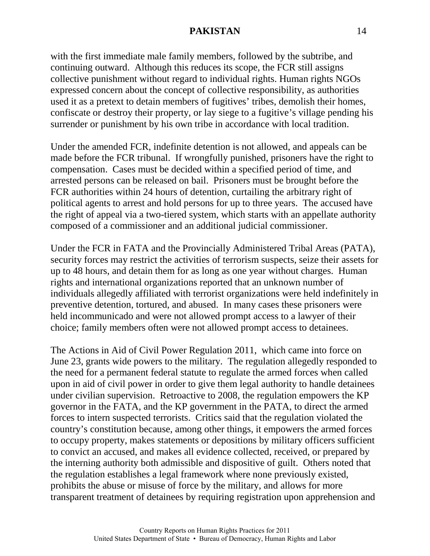with the first immediate male family members, followed by the subtribe, and continuing outward. Although this reduces its scope, the FCR still assigns collective punishment without regard to individual rights. Human rights NGOs expressed concern about the concept of collective responsibility, as authorities used it as a pretext to detain members of fugitives' tribes, demolish their homes, confiscate or destroy their property, or lay siege to a fugitive's village pending his surrender or punishment by his own tribe in accordance with local tradition.

Under the amended FCR, indefinite detention is not allowed, and appeals can be made before the FCR tribunal. If wrongfully punished, prisoners have the right to compensation. Cases must be decided within a specified period of time, and arrested persons can be released on bail. Prisoners must be brought before the FCR authorities within 24 hours of detention, curtailing the arbitrary right of political agents to arrest and hold persons for up to three years. The accused have the right of appeal via a two-tiered system, which starts with an appellate authority composed of a commissioner and an additional judicial commissioner.

Under the FCR in FATA and the Provincially Administered Tribal Areas (PATA), security forces may restrict the activities of terrorism suspects, seize their assets for up to 48 hours, and detain them for as long as one year without charges. Human rights and international organizations reported that an unknown number of individuals allegedly affiliated with terrorist organizations were held indefinitely in preventive detention, tortured, and abused. In many cases these prisoners were held incommunicado and were not allowed prompt access to a lawyer of their choice; family members often were not allowed prompt access to detainees.

The Actions in Aid of Civil Power Regulation 2011, which came into force on June 23, grants wide powers to the military. The regulation allegedly responded to the need for a permanent federal statute to regulate the armed forces when called upon in aid of civil power in order to give them legal authority to handle detainees under civilian supervision. Retroactive to 2008, the regulation empowers the KP governor in the FATA, and the KP government in the PATA, to direct the armed forces to intern suspected terrorists. Critics said that the regulation violated the country's constitution because, among other things, it empowers the armed forces to occupy property, makes statements or depositions by military officers sufficient to convict an accused, and makes all evidence collected, received, or prepared by the interning authority both admissible and dispositive of guilt. Others noted that the regulation establishes a legal framework where none previously existed, prohibits the abuse or misuse of force by the military, and allows for more transparent treatment of detainees by requiring registration upon apprehension and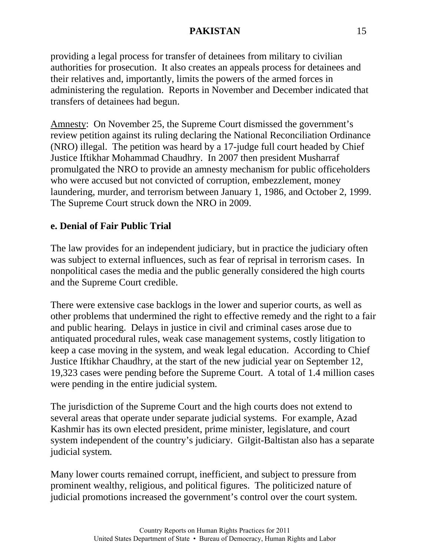providing a legal process for transfer of detainees from military to civilian authorities for prosecution. It also creates an appeals process for detainees and their relatives and, importantly, limits the powers of the armed forces in administering the regulation. Reports in November and December indicated that transfers of detainees had begun.

Amnesty: On November 25, the Supreme Court dismissed the government's review petition against its ruling declaring the National Reconciliation Ordinance (NRO) illegal. The petition was heard by a 17-judge full court headed by Chief Justice Iftikhar Mohammad Chaudhry. In 2007 then president Musharraf promulgated the NRO to provide an amnesty mechanism for public officeholders who were accused but not convicted of corruption, embezzlement, money laundering, murder, and terrorism between January 1, 1986, and October 2, 1999. The Supreme Court struck down the NRO in 2009.

# **e. Denial of Fair Public Trial**

The law provides for an independent judiciary, but in practice the judiciary often was subject to external influences, such as fear of reprisal in terrorism cases. In nonpolitical cases the media and the public generally considered the high courts and the Supreme Court credible.

There were extensive case backlogs in the lower and superior courts, as well as other problems that undermined the right to effective remedy and the right to a fair and public hearing. Delays in justice in civil and criminal cases arose due to antiquated procedural rules, weak case management systems, costly litigation to keep a case moving in the system, and weak legal education. According to Chief Justice Iftikhar Chaudhry, at the start of the new judicial year on September 12, 19,323 cases were pending before the Supreme Court. A total of 1.4 million cases were pending in the entire judicial system.

The jurisdiction of the Supreme Court and the high courts does not extend to several areas that operate under separate judicial systems. For example, Azad Kashmir has its own elected president, prime minister, legislature, and court system independent of the country's judiciary. Gilgit-Baltistan also has a separate judicial system.

Many lower courts remained corrupt, inefficient, and subject to pressure from prominent wealthy, religious, and political figures. The politicized nature of judicial promotions increased the government's control over the court system.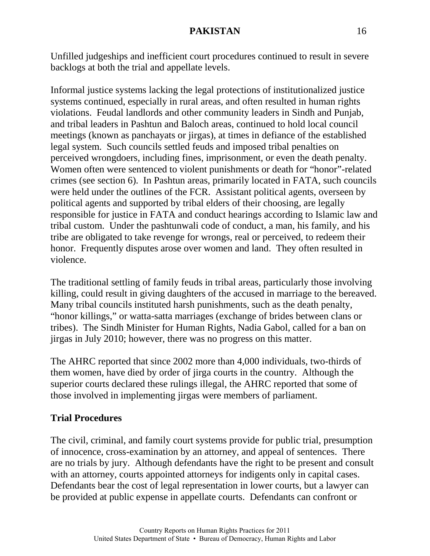Unfilled judgeships and inefficient court procedures continued to result in severe backlogs at both the trial and appellate levels.

Informal justice systems lacking the legal protections of institutionalized justice systems continued, especially in rural areas, and often resulted in human rights violations. Feudal landlords and other community leaders in Sindh and Punjab, and tribal leaders in Pashtun and Baloch areas, continued to hold local council meetings (known as panchayats or jirgas), at times in defiance of the established legal system. Such councils settled feuds and imposed tribal penalties on perceived wrongdoers, including fines, imprisonment, or even the death penalty. Women often were sentenced to violent punishments or death for "honor"-related crimes (see section 6). In Pashtun areas, primarily located in FATA, such councils were held under the outlines of the FCR. Assistant political agents, overseen by political agents and supported by tribal elders of their choosing, are legally responsible for justice in FATA and conduct hearings according to Islamic law and tribal custom. Under the pashtunwali code of conduct, a man, his family, and his tribe are obligated to take revenge for wrongs, real or perceived, to redeem their honor. Frequently disputes arose over women and land. They often resulted in violence.

The traditional settling of family feuds in tribal areas, particularly those involving killing, could result in giving daughters of the accused in marriage to the bereaved. Many tribal councils instituted harsh punishments, such as the death penalty, "honor killings," or watta-satta marriages (exchange of brides between clans or tribes). The Sindh Minister for Human Rights, Nadia Gabol, called for a ban on jirgas in July 2010; however, there was no progress on this matter.

The AHRC reported that since 2002 more than 4,000 individuals, two-thirds of them women, have died by order of jirga courts in the country. Although the superior courts declared these rulings illegal, the AHRC reported that some of those involved in implementing jirgas were members of parliament.

# **Trial Procedures**

The civil, criminal, and family court systems provide for public trial, presumption of innocence, cross-examination by an attorney, and appeal of sentences. There are no trials by jury. Although defendants have the right to be present and consult with an attorney, courts appointed attorneys for indigents only in capital cases. Defendants bear the cost of legal representation in lower courts, but a lawyer can be provided at public expense in appellate courts. Defendants can confront or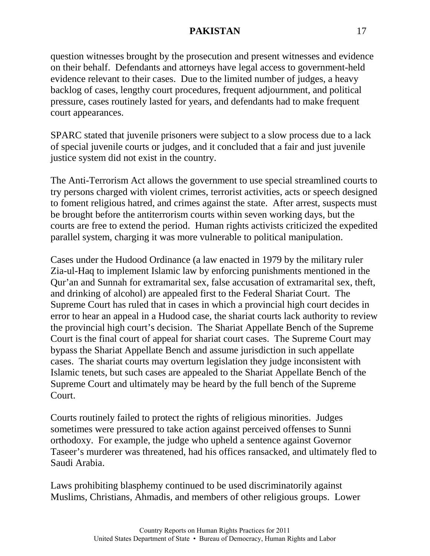question witnesses brought by the prosecution and present witnesses and evidence on their behalf. Defendants and attorneys have legal access to government-held evidence relevant to their cases. Due to the limited number of judges, a heavy backlog of cases, lengthy court procedures, frequent adjournment, and political pressure, cases routinely lasted for years, and defendants had to make frequent court appearances.

SPARC stated that juvenile prisoners were subject to a slow process due to a lack of special juvenile courts or judges, and it concluded that a fair and just juvenile justice system did not exist in the country.

The Anti-Terrorism Act allows the government to use special streamlined courts to try persons charged with violent crimes, terrorist activities, acts or speech designed to foment religious hatred, and crimes against the state. After arrest, suspects must be brought before the antiterrorism courts within seven working days, but the courts are free to extend the period. Human rights activists criticized the expedited parallel system, charging it was more vulnerable to political manipulation.

Cases under the Hudood Ordinance (a law enacted in 1979 by the military ruler Zia-ul-Haq to implement Islamic law by enforcing punishments mentioned in the [Qur'an](http://en.wikipedia.org/wiki/Quran) and Sunnah for extramarital sex, false accusation of extramarital sex, theft, and drinking of alcohol) are appealed first to the Federal Shariat Court. The Supreme Court has ruled that in cases in which a provincial high court decides in error to hear an appeal in a Hudood case, the shariat courts lack authority to review the provincial high court's decision. The Shariat Appellate Bench of the Supreme Court is the final court of appeal for shariat court cases. The Supreme Court may bypass the Shariat Appellate Bench and assume jurisdiction in such appellate cases. The shariat courts may overturn legislation they judge inconsistent with Islamic tenets, but such cases are appealed to the Shariat Appellate Bench of the Supreme Court and ultimately may be heard by the full bench of the Supreme Court.

Courts routinely failed to protect the rights of religious minorities. Judges sometimes were pressured to take action against perceived offenses to Sunni orthodoxy. For example, the judge who upheld a sentence against Governor Taseer's murderer was threatened, had his offices ransacked, and ultimately fled to Saudi Arabia.

Laws prohibiting blasphemy continued to be used discriminatorily against Muslims, Christians, Ahmadis, and members of other religious groups. Lower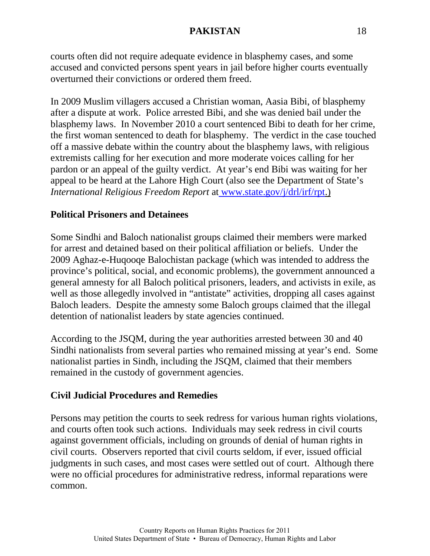courts often did not require adequate evidence in blasphemy cases, and some accused and convicted persons spent years in jail before higher courts eventually overturned their convictions or ordered them freed.

In 2009 Muslim villagers accused a Christian woman, Aasia Bibi, of blasphemy after a dispute at work. Police arrested Bibi, and she was denied bail under the blasphemy laws. In November 2010 a court sentenced Bibi to death for her crime, the first woman sentenced to death for blasphemy. The verdict in the case touched off a massive debate within the country about the blasphemy laws, with religious extremists calling for her execution and more moderate voices calling for her pardon or an appeal of the guilty verdict. At year's end Bibi was waiting for her appeal to be heard at the Lahore High Court (also see the Department of State's *International Religious Freedom Report* at [www.state.gov/j/drl/irf/rpt.](http://www.state.gov/j/drl/irf/rpt))

# **Political Prisoners and Detainees**

Some Sindhi and Baloch nationalist groups claimed their members were marked for arrest and detained based on their political affiliation or beliefs. Under the 2009 Aghaz-e-Huqooqe Balochistan package (which was intended to address the province's political, social, and economic problems), the government announced a general amnesty for all Baloch political prisoners, leaders, and activists in exile, as well as those allegedly involved in "antistate" activities, dropping all cases against Baloch leaders. Despite the amnesty some Baloch groups claimed that the illegal detention of nationalist leaders by state agencies continued.

According to the JSQM, during the year authorities arrested between 30 and 40 Sindhi nationalists from several parties who remained missing at year's end. Some nationalist parties in Sindh, including the JSQM, claimed that their members remained in the custody of government agencies.

# **Civil Judicial Procedures and Remedies**

Persons may petition the courts to seek redress for various human rights violations, and courts often took such actions. Individuals may seek redress in civil courts against government officials, including on grounds of denial of human rights in civil courts. Observers reported that civil courts seldom, if ever, issued official judgments in such cases, and most cases were settled out of court. Although there were no official procedures for administrative redress, informal reparations were common.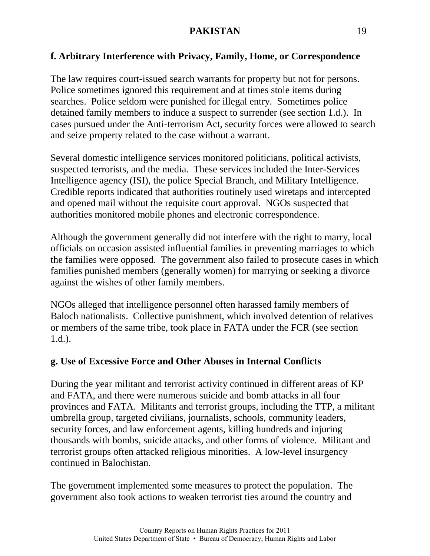# **f. Arbitrary Interference with Privacy, Family, Home, or Correspondence**

The law requires court-issued search warrants for property but not for persons. Police sometimes ignored this requirement and at times stole items during searches. Police seldom were punished for illegal entry. Sometimes police detained family members to induce a suspect to surrender (see section 1.d.). In cases pursued under the Anti-terrorism Act, security forces were allowed to search and seize property related to the case without a warrant.

Several domestic intelligence services monitored politicians, political activists, suspected terrorists, and the media. These services included the Inter-Services Intelligence agency (ISI), the police Special Branch, and Military Intelligence. Credible reports indicated that authorities routinely used wiretaps and intercepted and opened mail without the requisite court approval. NGOs suspected that authorities monitored mobile phones and electronic correspondence.

Although the government generally did not interfere with the right to marry, local officials on occasion assisted influential families in preventing marriages to which the families were opposed. The government also failed to prosecute cases in which families punished members (generally women) for marrying or seeking a divorce against the wishes of other family members.

NGOs alleged that intelligence personnel often harassed family members of Baloch nationalists. Collective punishment, which involved detention of relatives or members of the same tribe, took place in FATA under the FCR (see section 1.d.).

# **g. Use of Excessive Force and Other Abuses in Internal Conflicts**

During the year militant and terrorist activity continued in different areas of KP and FATA, and there were numerous suicide and bomb attacks in all four provinces and FATA. Militants and terrorist groups, including the TTP, a militant umbrella group, targeted civilians, journalists, schools, community leaders, security forces, and law enforcement agents, killing hundreds and injuring thousands with bombs, suicide attacks, and other forms of violence. Militant and terrorist groups often attacked religious minorities. A low-level insurgency continued in Balochistan.

The government implemented some measures to protect the population. The government also took actions to weaken terrorist ties around the country and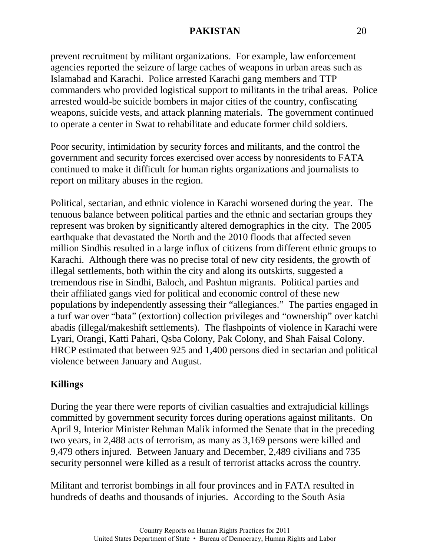prevent recruitment by militant organizations. For example, law enforcement agencies reported the seizure of large caches of weapons in urban areas such as Islamabad and Karachi. Police arrested Karachi gang members and TTP commanders who provided logistical support to militants in the tribal areas. Police arrested would-be suicide bombers in major cities of the country, confiscating weapons, suicide vests, and attack planning materials. The government continued to operate a center in Swat to rehabilitate and educate former child soldiers.

Poor security, intimidation by security forces and militants, and the control the government and security forces exercised over access by nonresidents to FATA continued to make it difficult for human rights organizations and journalists to report on military abuses in the region.

Political, sectarian, and ethnic violence in Karachi worsened during the year. The tenuous balance between political parties and the ethnic and sectarian groups they represent was broken by significantly altered demographics in the city. The 2005 earthquake that devastated the North and the 2010 floods that affected seven million Sindhis resulted in a large influx of citizens from different ethnic groups to Karachi. Although there was no precise total of new city residents, the growth of illegal settlements, both within the city and along its outskirts, suggested a tremendous rise in Sindhi, Baloch, and Pashtun migrants. Political parties and their affiliated gangs vied for political and economic control of these new populations by independently assessing their "allegiances." The parties engaged in a turf war over "bata" (extortion) collection privileges and "ownership" over katchi abadis (illegal/makeshift settlements). The flashpoints of violence in Karachi were Lyari, Orangi, Katti Pahari, Qsba Colony, Pak Colony, and Shah Faisal Colony. HRCP estimated that between 925 and 1,400 persons died in sectarian and political violence between January and August.

### **Killings**

During the year there were reports of civilian casualties and extrajudicial killings committed by government security forces during operations against militants. On April 9, Interior Minister Rehman Malik informed the Senate that in the preceding two years, in 2,488 acts of terrorism, as many as 3,169 persons were killed and 9,479 others injured. Between January and December, 2,489 civilians and 735 security personnel were killed as a result of terrorist attacks across the country.

Militant and terrorist bombings in all four provinces and in FATA resulted in hundreds of deaths and thousands of injuries. According to the South Asia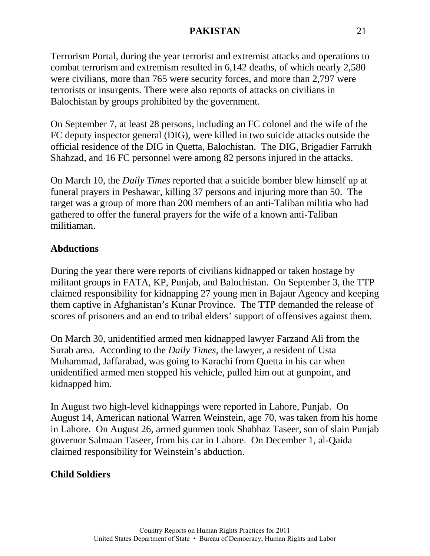Terrorism Portal, during the year terrorist and extremist attacks and operations to combat terrorism and extremism resulted in 6,142 deaths, of which nearly 2,580 were civilians, more than 765 were security forces, and more than 2,797 were terrorists or insurgents. There were also reports of attacks on civilians in Balochistan by groups prohibited by the government.

On September 7, at least 28 persons, including an FC colonel and the wife of the FC deputy inspector general (DIG), were killed in two suicide attacks outside the official residence of the DIG in Quetta, Balochistan. The DIG, Brigadier Farrukh Shahzad, and 16 FC personnel were among 82 persons injured in the attacks.

On March 10, the *Daily Times* reported that a suicide bomber blew himself up at funeral prayers in Peshawar, killing 37 persons and injuring more than 50. The target was a group of more than 200 members of an anti-Taliban militia who had gathered to offer the funeral prayers for the wife of a known anti-Taliban militiaman.

# **Abductions**

During the year there were reports of civilians kidnapped or taken hostage by militant groups in FATA, KP, Punjab, and Balochistan. On September 3, the TTP claimed responsibility for kidnapping 27 young men in Bajaur Agency and keeping them captive in Afghanistan's Kunar Province. The TTP demanded the release of scores of prisoners and an end to tribal elders' support of offensives against them.

On March 30, unidentified armed men kidnapped lawyer Farzand Ali from the Surab area. According to the *Daily Times*, the lawyer, a resident of Usta Muhammad, Jaffarabad, was going to Karachi from Quetta in his car when unidentified armed men stopped his vehicle, pulled him out at gunpoint, and kidnapped him.

In August two high-level kidnappings were reported in Lahore, Punjab. On August 14, American national Warren Weinstein, age 70, was taken from his home in Lahore. On August 26, armed gunmen took Shabhaz Taseer, son of slain Punjab governor Salmaan Taseer, from his car in Lahore. On December 1, al-Qaida claimed responsibility for Weinstein's abduction.

# **Child Soldiers**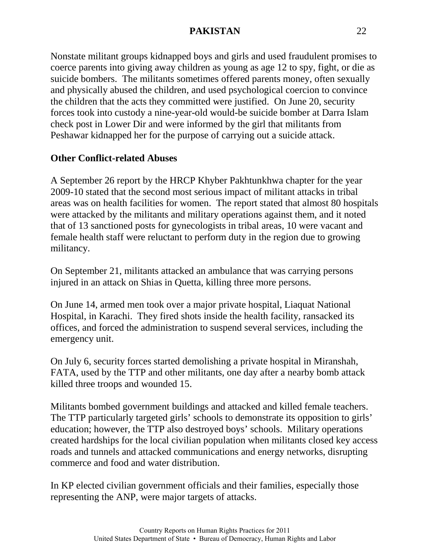Nonstate militant groups kidnapped boys and girls and used fraudulent promises to coerce parents into giving away children as young as age 12 to spy, fight, or die as suicide bombers. The militants sometimes offered parents money, often sexually and physically abused the children, and used psychological coercion to convince the children that the acts they committed were justified. On June 20, security forces took into custody a nine-year-old would-be suicide bomber at Darra Islam check post in Lower Dir and were informed by the girl that militants from Peshawar kidnapped her for the purpose of carrying out a suicide attack.

# **Other Conflict-related Abuses**

A September 26 report by the HRCP Khyber Pakhtunkhwa chapter for the year 2009-10 stated that the second most serious impact of militant attacks in tribal areas was on health facilities for women. The report stated that almost 80 hospitals were attacked by the militants and military operations against them, and it noted that of 13 sanctioned posts for gynecologists in tribal areas, 10 were vacant and female health staff were reluctant to perform duty in the region due to growing militancy.

On September 21, militants attacked an ambulance that was carrying persons injured in an attack on Shias in Quetta, killing three more persons.

On June 14, armed men took over a major private hospital, Liaquat National Hospital, in Karachi. They fired shots inside the health facility, ransacked its offices, and forced the administration to suspend several services, including the emergency unit.

On July 6, security forces started demolishing a private hospital in Miranshah, FATA, used by the TTP and other militants, one day after a nearby bomb attack killed three troops and wounded 15.

Militants bombed government buildings and attacked and killed female teachers. The TTP particularly targeted girls' schools to demonstrate its opposition to girls' education; however, the TTP also destroyed boys' schools. Military operations created hardships for the local civilian population when militants closed key access roads and tunnels and attacked communications and energy networks, disrupting commerce and food and water distribution.

In KP elected civilian government officials and their families, especially those representing the ANP, were major targets of attacks.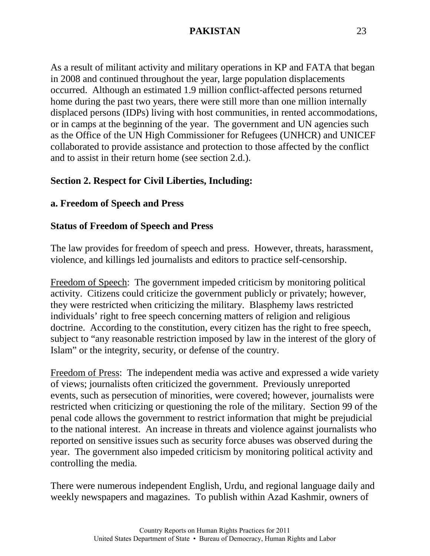As a result of militant activity and military operations in KP and FATA that began in 2008 and continued throughout the year, large population displacements occurred. Although an estimated 1.9 million conflict-affected persons returned home during the past two years, there were still more than one million internally displaced persons (IDPs) living with host communities, in rented accommodations, or in camps at the beginning of the year. The government and UN agencies such as the Office of the UN High Commissioner for Refugees (UNHCR) and UNICEF collaborated to provide assistance and protection to those affected by the conflict and to assist in their return home (see section 2.d.).

# **Section 2. Respect for Civil Liberties, Including:**

#### **a. Freedom of Speech and Press**

#### **Status of Freedom of Speech and Press**

The law provides for freedom of speech and press. However, threats, harassment, violence, and killings led journalists and editors to practice self-censorship.

Freedom of Speech: The government impeded criticism by monitoring political activity. Citizens could criticize the government publicly or privately; however, they were restricted when criticizing the military. Blasphemy laws restricted individuals' right to free speech concerning matters of religion and religious doctrine. According to the constitution, every citizen has the right to free speech, subject to "any reasonable restriction imposed by law in the interest of the glory of Islam" or the integrity, security, or defense of the country.

Freedom of Press: The independent media was active and expressed a wide variety of views; journalists often criticized the government. Previously unreported events, such as persecution of minorities, were covered; however, journalists were restricted when criticizing or questioning the role of the military. Section 99 of the penal code allows the government to restrict information that might be prejudicial to the national interest. An increase in threats and violence against journalists who reported on sensitive issues such as security force abuses was observed during the year. The government also impeded criticism by monitoring political activity and controlling the media.

There were numerous independent English, Urdu, and regional language daily and weekly newspapers and magazines. To publish within Azad Kashmir, owners of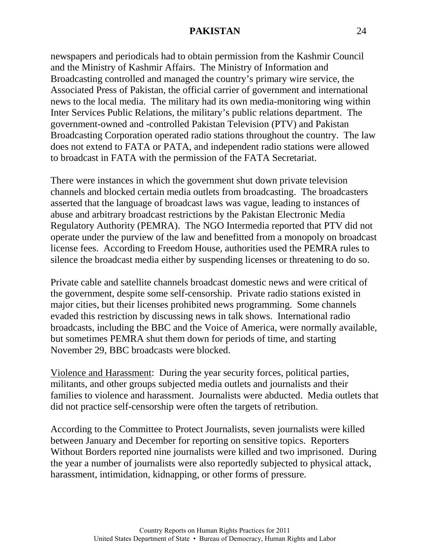newspapers and periodicals had to obtain permission from the Kashmir Council and the Ministry of Kashmir Affairs. The Ministry of Information and Broadcasting controlled and managed the country's primary wire service, the Associated Press of Pakistan, the official carrier of government and international news to the local media. The military had its own media-monitoring wing within Inter Services Public Relations, the military's public relations department. The government-owned and -controlled Pakistan Television (PTV) and Pakistan Broadcasting Corporation operated radio stations throughout the country. The law does not extend to FATA or PATA, and independent radio stations were allowed to broadcast in FATA with the permission of the FATA Secretariat.

There were instances in which the government shut down private television channels and blocked certain media outlets from broadcasting. The broadcasters asserted that the language of broadcast laws was vague, leading to instances of abuse and arbitrary broadcast restrictions by the Pakistan Electronic Media Regulatory Authority (PEMRA). The NGO Intermedia reported that PTV did not operate under the purview of the law and benefitted from a monopoly on broadcast license fees. According to Freedom House, authorities used the PEMRA rules to silence the broadcast media either by suspending licenses or threatening to do so.

Private cable and satellite channels broadcast domestic news and were critical of the government, despite some self-censorship. Private radio stations existed in major cities, but their licenses prohibited news programming. Some channels evaded this restriction by discussing news in talk shows. International radio broadcasts, including the BBC and the Voice of America, were normally available, but sometimes PEMRA shut them down for periods of time, and starting November 29, BBC broadcasts were blocked.

Violence and Harassment: During the year security forces, political parties, militants, and other groups subjected media outlets and journalists and their families to violence and harassment. Journalists were abducted. Media outlets that did not practice self-censorship were often the targets of retribution.

According to the Committee to Protect Journalists, seven journalists were killed between January and December for reporting on sensitive topics. Reporters Without Borders reported nine journalists were killed and two imprisoned. During the year a number of journalists were also reportedly subjected to physical attack, harassment, intimidation, kidnapping, or other forms of pressure.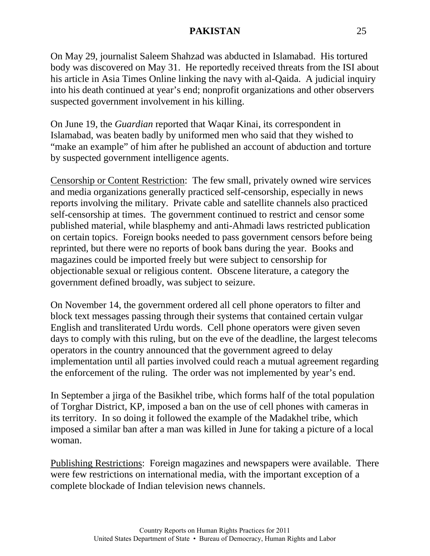On May 29, journalist Saleem Shahzad was abducted in Islamabad. His tortured body was discovered on May 31. He reportedly received threats from the ISI about his article in Asia Times Online linking the navy with al-Qaida. A judicial inquiry into his death continued at year's end; nonprofit organizations and other observers suspected government involvement in his killing.

On June 19, the *Guardian* reported that Waqar Kinai, its correspondent in Islamabad, was beaten badly by uniformed men who said that they wished to "make an example" of him after he published an account of abduction and torture by suspected government intelligence agents.

Censorship or Content Restriction: The few small, privately owned wire services and media organizations generally practiced self-censorship, especially in news reports involving the military. Private cable and satellite channels also practiced self-censorship at times. The government continued to restrict and censor some published material, while blasphemy and anti-Ahmadi laws restricted publication on certain topics. Foreign books needed to pass government censors before being reprinted, but there were no reports of book bans during the year. Books and magazines could be imported freely but were subject to censorship for objectionable sexual or religious content. Obscene literature, a category the government defined broadly, was subject to seizure.

On November 14, the government ordered all cell phone operators to filter and block text messages passing through their systems that contained certain vulgar English and transliterated Urdu words. Cell phone operators were given seven days to comply with this ruling, but on the eve of the deadline, the largest telecoms operators in the country announced that the government agreed to delay implementation until all parties involved could reach a mutual agreement regarding the enforcement of the ruling. The order was not implemented by year's end.

In September a jirga of the Basikhel tribe, which forms half of the total population of Torghar District, KP, imposed a ban on the use of cell phones with cameras in its territory. In so doing it followed the example of the Madakhel tribe, which imposed a similar ban after a man was killed in June for taking a picture of a local woman.

Publishing Restrictions: Foreign magazines and newspapers were available. There were few restrictions on international media, with the important exception of a complete blockade of Indian television news channels.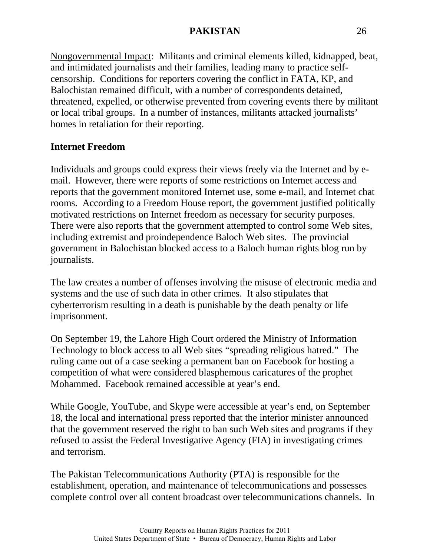Nongovernmental Impact: Militants and criminal elements killed, kidnapped, beat, and intimidated journalists and their families, leading many to practice selfcensorship. Conditions for reporters covering the conflict in FATA, KP, and Balochistan remained difficult, with a number of correspondents detained, threatened, expelled, or otherwise prevented from covering events there by militant or local tribal groups. In a number of instances, militants attacked journalists' homes in retaliation for their reporting.

### **Internet Freedom**

Individuals and groups could express their views freely via the Internet and by email. However, there were reports of some restrictions on Internet access and reports that the government monitored Internet use, some e-mail, and Internet chat rooms. According to a Freedom House report, the government justified politically motivated restrictions on Internet freedom as necessary for security purposes. There were also reports that the government attempted to control some Web sites, including extremist and proindependence Baloch Web sites. The provincial government in Balochistan blocked access to a Baloch human rights blog run by journalists.

The law creates a number of offenses involving the misuse of electronic media and systems and the use of such data in other crimes. It also stipulates that cyberterrorism resulting in a death is punishable by the death penalty or life imprisonment.

On September 19, the Lahore High Court ordered the Ministry of Information Technology to block access to all Web sites "spreading religious hatred." The ruling came out of a case seeking a permanent ban on Facebook for hosting a competition of what were considered blasphemous caricatures of the prophet Mohammed. Facebook remained accessible at year's end.

While Google, YouTube, and Skype were accessible at year's end, on September 18, the local and international press reported that the interior minister announced that the government reserved the right to ban such Web sites and programs if they refused to assist the Federal Investigative Agency (FIA) in investigating crimes and terrorism.

The Pakistan Telecommunications Authority (PTA) is responsible for the establishment, operation, and maintenance of telecommunications and possesses complete control over all content broadcast over telecommunications channels. In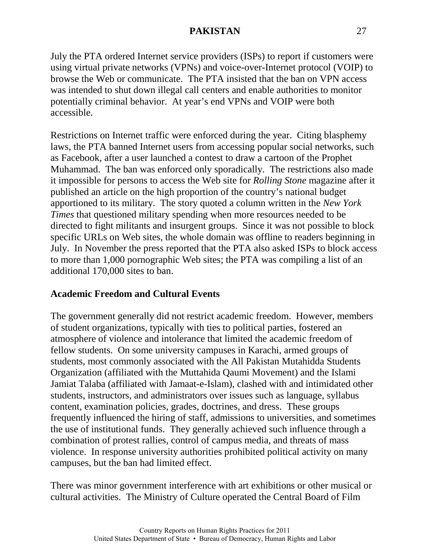July the PTA ordered Internet service providers (ISPs) to report if customers were using virtual private networks (VPNs) and voice-over-Internet protocol (VOIP) to browse the Web or communicate. The PTA insisted that the ban on VPN access was intended to shut down illegal call centers and enable authorities to monitor potentially criminal behavior. At year's end VPNs and VOIP were both accessible.

Restrictions on Internet traffic were enforced during the year. Citing blasphemy laws, the PTA banned Internet users from accessing popular social networks, such as Facebook, after a user launched a contest to draw a cartoon of the Prophet Muhammad. The ban was enforced only sporadically. The restrictions also made it impossible for persons to access the Web site for *Rolling Stone* magazine after it published an article on the high proportion of the country's national budget apportioned to its military. The story quoted a column written in the *New York Times* that questioned military spending when more resources needed to be directed to fight militants and insurgent groups. Since it was not possible to block specific URLs on Web sites, the whole domain was offline to readers beginning in July. In November the press reported that the PTA also asked ISPs to block access to more than 1,000 pornographic Web sites; the PTA was compiling a list of an additional 170,000 sites to ban.

### **Academic Freedom and Cultural Events**

The government generally did not restrict academic freedom. However, members of student organizations, typically with ties to political parties, fostered an atmosphere of violence and intolerance that limited the academic freedom of fellow students. On some university campuses in Karachi, armed groups of students, most commonly associated with the All Pakistan Mutahidda Students Organization (affiliated with the Muttahida Qaumi Movement) and the Islami Jamiat Talaba (affiliated with Jamaat-e-Islam), clashed with and intimidated other students, instructors, and administrators over issues such as language, syllabus content, examination policies, grades, doctrines, and dress. These groups frequently influenced the hiring of staff, admissions to universities, and sometimes the use of institutional funds. They generally achieved such influence through a combination of protest rallies, control of campus media, and threats of mass violence. In response university authorities prohibited political activity on many campuses, but the ban had limited effect.

There was minor government interference with art exhibitions or other musical or cultural activities. The Ministry of Culture operated the Central Board of Film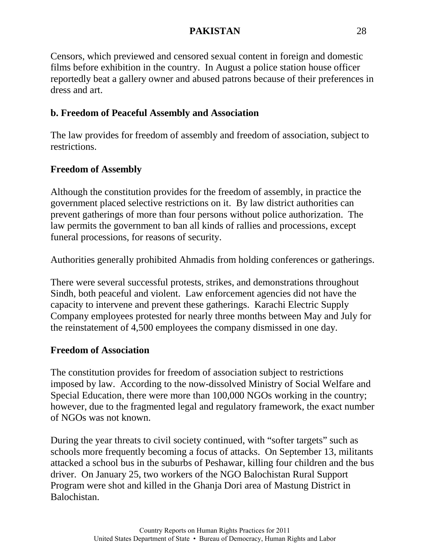Censors, which previewed and censored sexual content in foreign and domestic films before exhibition in the country. In August a police station house officer reportedly beat a gallery owner and abused patrons because of their preferences in dress and art.

# **b. Freedom of Peaceful Assembly and Association**

The law provides for freedom of assembly and freedom of association, subject to restrictions.

# **Freedom of Assembly**

Although the constitution provides for the freedom of assembly, in practice the government placed selective restrictions on it. By law district authorities can prevent gatherings of more than four persons without police authorization. The law permits the government to ban all kinds of rallies and processions, except funeral processions, for reasons of security.

Authorities generally prohibited Ahmadis from holding conferences or gatherings.

There were several successful protests, strikes, and demonstrations throughout Sindh, both peaceful and violent. Law enforcement agencies did not have the capacity to intervene and prevent these gatherings. Karachi Electric Supply Company employees protested for nearly three months between May and July for the reinstatement of 4,500 employees the company dismissed in one day.

# **Freedom of Association**

The constitution provides for freedom of association subject to restrictions imposed by law. According to the now-dissolved Ministry of Social Welfare and Special Education, there were more than 100,000 NGOs working in the country; however, due to the fragmented legal and regulatory framework, the exact number of NGOs was not known.

During the year threats to civil society continued, with "softer targets" such as schools more frequently becoming a focus of attacks. On September 13, militants attacked a school bus in the suburbs of Peshawar, killing four children and the bus driver. On January 25, two workers of the NGO Balochistan Rural Support Program were shot and killed in the Ghanja Dori area of Mastung District in Balochistan.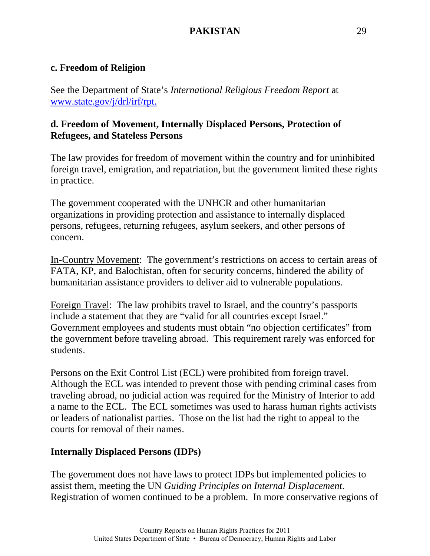#### **c. Freedom of Religion**

See the Department of State's *International Religious Freedom Report* at [www.state.gov/j/drl/irf/rpt.](http://www.state.gov/j/drl/irf/rpt)

### **d. Freedom of Movement, Internally Displaced Persons, Protection of Refugees, and Stateless Persons**

The law provides for freedom of movement within the country and for uninhibited foreign travel, emigration, and repatriation, but the government limited these rights in practice.

The government cooperated with the UNHCR and other humanitarian organizations in providing protection and assistance to internally displaced persons, refugees, returning refugees, asylum seekers, and other persons of concern.

In-Country Movement: The government's restrictions on access to certain areas of FATA, KP, and Balochistan, often for security concerns, hindered the ability of humanitarian assistance providers to deliver aid to vulnerable populations.

Foreign Travel: The law prohibits travel to Israel, and the country's passports include a statement that they are "valid for all countries except Israel." Government employees and students must obtain "no objection certificates" from the government before traveling abroad. This requirement rarely was enforced for students.

Persons on the Exit Control List (ECL) were prohibited from foreign travel. Although the ECL was intended to prevent those with pending criminal cases from traveling abroad, no judicial action was required for the Ministry of Interior to add a name to the ECL. The ECL sometimes was used to harass human rights activists or leaders of nationalist parties. Those on the list had the right to appeal to the courts for removal of their names.

### **Internally Displaced Persons (IDPs)**

The government does not have laws to protect IDPs but implemented policies to assist them, meeting the UN *Guiding Principles on Internal Displacement*. Registration of women continued to be a problem. In more conservative regions of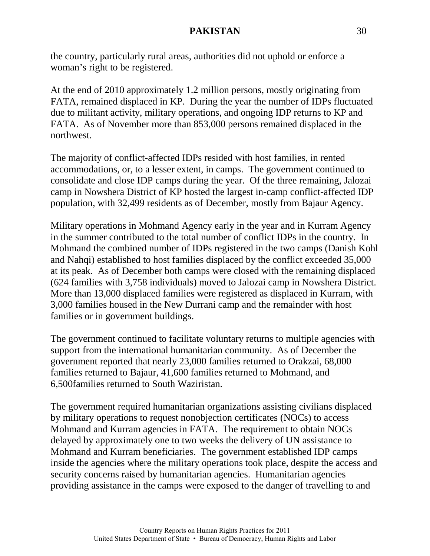the country, particularly rural areas, authorities did not uphold or enforce a woman's right to be registered.

At the end of 2010 approximately 1.2 million persons, mostly originating from FATA, remained displaced in KP. During the year the number of IDPs fluctuated due to militant activity, military operations, and ongoing IDP returns to KP and FATA. As of November more than 853,000 persons remained displaced in the northwest.

The majority of conflict-affected IDPs resided with host families, in rented accommodations, or, to a lesser extent, in camps. The government continued to consolidate and close IDP camps during the year. Of the three remaining, Jalozai camp in Nowshera District of KP hosted the largest in-camp conflict-affected IDP population, with 32,499 residents as of December, mostly from Bajaur Agency.

Military operations in Mohmand Agency early in the year and in Kurram Agency in the summer contributed to the total number of conflict IDPs in the country. In Mohmand the combined number of IDPs registered in the two camps (Danish Kohl and Nahqi) established to host families displaced by the conflict exceeded 35,000 at its peak. As of December both camps were closed with the remaining displaced (624 families with 3,758 individuals) moved to Jalozai camp in Nowshera District. More than 13,000 displaced families were registered as displaced in Kurram, with 3,000 families housed in the New Durrani camp and the remainder with host families or in government buildings.

The government continued to facilitate voluntary returns to multiple agencies with support from the international humanitarian community. As of December the government reported that nearly 23,000 families returned to Orakzai, 68,000 families returned to Bajaur, 41,600 families returned to Mohmand, and 6,500families returned to South Waziristan.

The government required humanitarian organizations assisting civilians displaced by military operations to request nonobjection certificates (NOCs) to access Mohmand and Kurram agencies in FATA. The requirement to obtain NOCs delayed by approximately one to two weeks the delivery of UN assistance to Mohmand and Kurram beneficiaries. The government established IDP camps inside the agencies where the military operations took place, despite the access and security concerns raised by humanitarian agencies. Humanitarian agencies providing assistance in the camps were exposed to the danger of travelling to and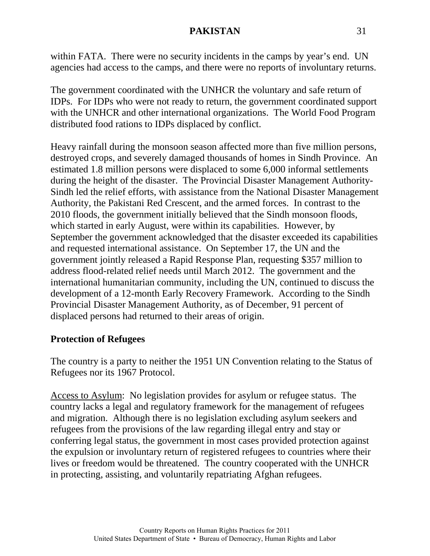within FATA. There were no security incidents in the camps by year's end. UN agencies had access to the camps, and there were no reports of involuntary returns.

The government coordinated with the UNHCR the voluntary and safe return of IDPs. For IDPs who were not ready to return, the government coordinated support with the UNHCR and other international organizations. The World Food Program distributed food rations to IDPs displaced by conflict.

Heavy rainfall during the monsoon season affected more than five million persons, destroyed crops, and severely damaged thousands of homes in Sindh Province. An estimated 1.8 million persons were displaced to some 6,000 informal settlements during the height of the disaster. The Provincial Disaster Management Authority-Sindh led the relief efforts, with assistance from the National Disaster Management Authority, the Pakistani Red Crescent, and the armed forces. In contrast to the 2010 floods, the government initially believed that the Sindh monsoon floods, which started in early August, were within its capabilities. However, by September the government acknowledged that the disaster exceeded its capabilities and requested international assistance. On September 17, the UN and the government jointly released a Rapid Response Plan, requesting \$357 million to address flood-related relief needs until March 2012. The government and the international humanitarian community, including the UN, continued to discuss the development of a 12-month Early Recovery Framework. According to the Sindh Provincial Disaster Management Authority, as of December, 91 percent of displaced persons had returned to their areas of origin.

### **Protection of Refugees**

The country is a party to neither the 1951 UN Convention relating to the Status of Refugees nor its 1967 Protocol.

Access to Asylum: No legislation provides for asylum or refugee status. The country lacks a legal and regulatory framework for the management of refugees and migration. Although there is no legislation excluding asylum seekers and refugees from the provisions of the law regarding illegal entry and stay or conferring legal status, the government in most cases provided protection against the expulsion or involuntary return of registered refugees to countries where their lives or freedom would be threatened. The country cooperated with the UNHCR in protecting, assisting, and voluntarily repatriating Afghan refugees.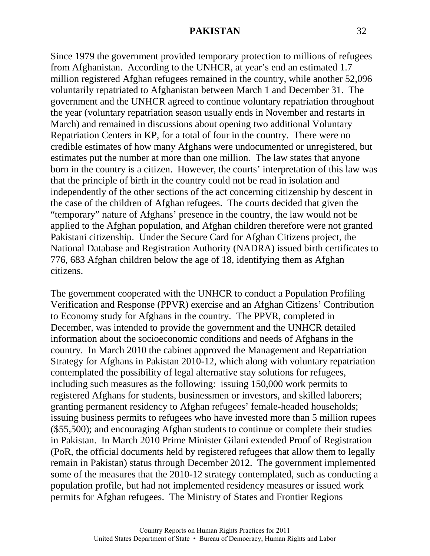Since 1979 the government provided temporary protection to millions of refugees from Afghanistan. According to the UNHCR, at year's end an estimated 1.7 million registered Afghan refugees remained in the country, while another 52,096 voluntarily repatriated to Afghanistan between March 1 and December 31. The government and the UNHCR agreed to continue voluntary repatriation throughout the year (voluntary repatriation season usually ends in November and restarts in March) and remained in discussions about opening two additional Voluntary Repatriation Centers in KP, for a total of four in the country. There were no credible estimates of how many Afghans were undocumented or unregistered, but estimates put the number at more than one million. The law states that anyone born in the country is a citizen. However, the courts' interpretation of this law was that the principle of birth in the country could not be read in isolation and independently of the other sections of the act concerning citizenship by descent in the case of the children of Afghan refugees. The courts decided that given the "temporary" nature of Afghans' presence in the country, the law would not be applied to the Afghan population, and Afghan children therefore were not granted Pakistani citizenship. Under the Secure Card for Afghan Citizens project, the National Database and Registration Authority (NADRA) issued birth certificates to 776, 683 Afghan children below the age of 18, identifying them as Afghan citizens.

The government cooperated with the UNHCR to conduct a Population Profiling Verification and Response (PPVR) exercise and an Afghan Citizens' Contribution to Economy study for Afghans in the country. The PPVR, completed in December, was intended to provide the government and the UNHCR detailed information about the socioeconomic conditions and needs of Afghans in the country. In March 2010 the cabinet approved the Management and Repatriation Strategy for Afghans in Pakistan 2010-12, which along with voluntary repatriation contemplated the possibility of legal alternative stay solutions for refugees, including such measures as the following: issuing 150,000 work permits to registered Afghans for students, businessmen or investors, and skilled laborers; granting permanent residency to Afghan refugees' female-headed households; issuing business permits to refugees who have invested more than 5 million rupees (\$55,500); and encouraging Afghan students to continue or complete their studies in Pakistan. In March 2010 Prime Minister Gilani extended Proof of Registration (PoR, the official documents held by registered refugees that allow them to legally remain in Pakistan) status through December 2012. The government implemented some of the measures that the 2010-12 strategy contemplated, such as conducting a population profile, but had not implemented residency measures or issued work permits for Afghan refugees. The Ministry of States and Frontier Regions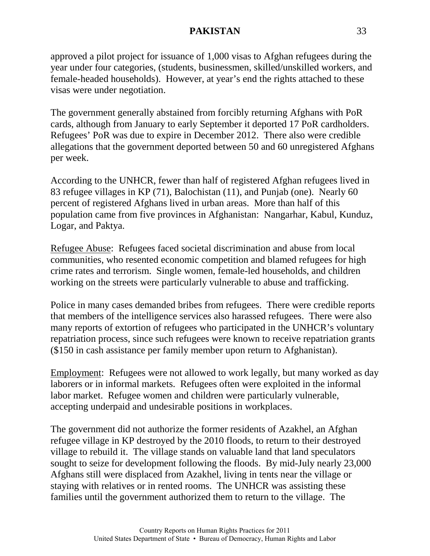approved a pilot project for issuance of 1,000 visas to Afghan refugees during the year under four categories, (students, businessmen, skilled/unskilled workers, and female-headed households). However, at year's end the rights attached to these visas were under negotiation.

The government generally abstained from forcibly returning Afghans with PoR cards, although from January to early September it deported 17 PoR cardholders. Refugees' PoR was due to expire in December 2012. There also were credible allegations that the government deported between 50 and 60 unregistered Afghans per week.

According to the UNHCR, fewer than half of registered Afghan refugees lived in 83 refugee villages in KP (71), Balochistan (11), and Punjab (one). Nearly 60 percent of registered Afghans lived in urban areas. More than half of this population came from five provinces in Afghanistan: Nangarhar, Kabul, Kunduz, Logar, and Paktya.

Refugee Abuse: Refugees faced societal discrimination and abuse from local communities, who resented economic competition and blamed refugees for high crime rates and terrorism. Single women, female-led households, and children working on the streets were particularly vulnerable to abuse and trafficking.

Police in many cases demanded bribes from refugees. There were credible reports that members of the intelligence services also harassed refugees. There were also many reports of extortion of refugees who participated in the UNHCR's voluntary repatriation process, since such refugees were known to receive repatriation grants (\$150 in cash assistance per family member upon return to Afghanistan).

Employment: Refugees were not allowed to work legally, but many worked as day laborers or in informal markets. Refugees often were exploited in the informal labor market. Refugee women and children were particularly vulnerable, accepting underpaid and undesirable positions in workplaces.

The government did not authorize the former residents of Azakhel, an Afghan refugee village in KP destroyed by the 2010 floods, to return to their destroyed village to rebuild it. The village stands on valuable land that land speculators sought to seize for development following the floods. By mid-July nearly 23,000 Afghans still were displaced from Azakhel, living in tents near the village or staying with relatives or in rented rooms. The UNHCR was assisting these families until the government authorized them to return to the village. The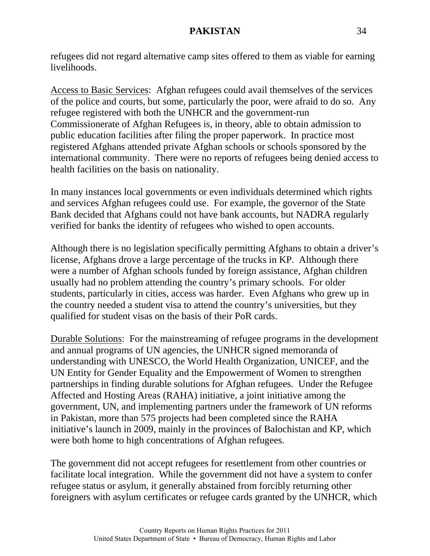refugees did not regard alternative camp sites offered to them as viable for earning livelihoods.

Access to Basic Services: Afghan refugees could avail themselves of the services of the police and courts, but some, particularly the poor, were afraid to do so. Any refugee registered with both the UNHCR and the government-run Commissionerate of Afghan Refugees is, in theory, able to obtain admission to public education facilities after filing the proper paperwork. In practice most registered Afghans attended private Afghan schools or schools sponsored by the international community. There were no reports of refugees being denied access to health facilities on the basis on nationality.

In many instances local governments or even individuals determined which rights and services Afghan refugees could use. For example, the governor of the State Bank decided that Afghans could not have bank accounts, but NADRA regularly verified for banks the identity of refugees who wished to open accounts.

Although there is no legislation specifically permitting Afghans to obtain a driver's license, Afghans drove a large percentage of the trucks in KP. Although there were a number of Afghan schools funded by foreign assistance, Afghan children usually had no problem attending the country's primary schools. For older students, particularly in cities, access was harder. Even Afghans who grew up in the country needed a student visa to attend the country's universities, but they qualified for student visas on the basis of their PoR cards.

Durable Solutions: For the mainstreaming of refugee programs in the development and annual programs of UN agencies, the UNHCR signed memoranda of understanding with UNESCO, the World Health Organization, UNICEF, and the UN Entity for Gender Equality and the Empowerment of Women to strengthen partnerships in finding durable solutions for Afghan refugees. Under the Refugee Affected and Hosting Areas (RAHA) initiative, a joint initiative among the government, UN, and implementing partners under the framework of UN reforms in Pakistan, more than 575 projects had been completed since the RAHA initiative's launch in 2009, mainly in the provinces of Balochistan and KP, which were both home to high concentrations of Afghan refugees.

The government did not accept refugees for resettlement from other countries or facilitate local integration. While the government did not have a system to confer refugee status or asylum, it generally abstained from forcibly returning other foreigners with asylum certificates or refugee cards granted by the UNHCR, which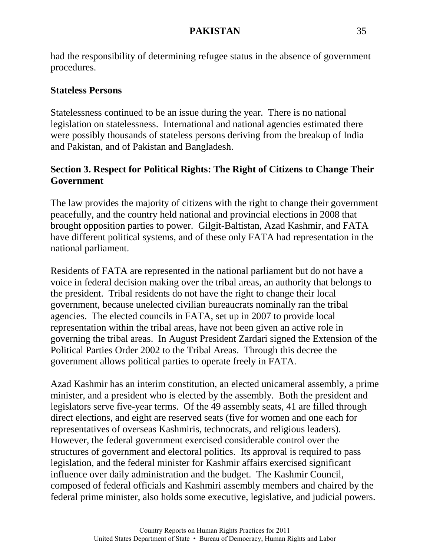had the responsibility of determining refugee status in the absence of government procedures.

#### **Stateless Persons**

Statelessness continued to be an issue during the year. There is no national legislation on statelessness. International and national agencies estimated there were possibly thousands of stateless persons deriving from the breakup of India and Pakistan, and of Pakistan and Bangladesh.

# **Section 3. Respect for Political Rights: The Right of Citizens to Change Their Government**

The law provides the majority of citizens with the right to change their government peacefully, and the country held national and provincial elections in 2008 that brought opposition parties to power. Gilgit-Baltistan, Azad Kashmir, and FATA have different political systems, and of these only FATA had representation in the national parliament.

Residents of FATA are represented in the national parliament but do not have a voice in federal decision making over the tribal areas, an authority that belongs to the president. Tribal residents do not have the right to change their local government, because unelected civilian bureaucrats nominally ran the tribal agencies. The elected councils in FATA, set up in 2007 to provide local representation within the tribal areas, have not been given an active role in governing the tribal areas. In August President Zardari signed the Extension of the Political Parties Order 2002 to the Tribal Areas. Through this decree the government allows political parties to operate freely in FATA.

Azad Kashmir has an interim constitution, an elected unicameral assembly, a prime minister, and a president who is elected by the assembly. Both the president and legislators serve five-year terms. Of the 49 assembly seats, 41 are filled through direct elections, and eight are reserved seats (five for women and one each for representatives of overseas Kashmiris, technocrats, and religious leaders). However, the federal government exercised considerable control over the structures of government and electoral politics. Its approval is required to pass legislation, and the federal minister for Kashmir affairs exercised significant influence over daily administration and the budget. The Kashmir Council, composed of federal officials and Kashmiri assembly members and chaired by the federal prime minister, also holds some executive, legislative, and judicial powers.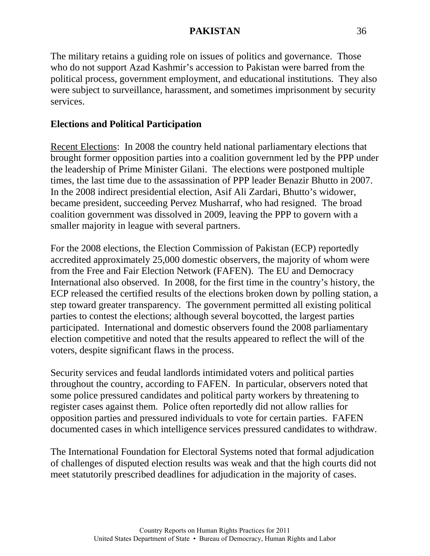The military retains a guiding role on issues of politics and governance. Those who do not support Azad Kashmir's accession to Pakistan were barred from the political process, government employment, and educational institutions. They also were subject to surveillance, harassment, and sometimes imprisonment by security services.

### **Elections and Political Participation**

Recent Elections: In 2008 the country held national parliamentary elections that brought former opposition parties into a coalition government led by the PPP under the leadership of Prime Minister Gilani. The elections were postponed multiple times, the last time due to the assassination of PPP leader Benazir Bhutto in 2007. In the 2008 indirect presidential election, Asif Ali Zardari, Bhutto's widower, became president, succeeding Pervez Musharraf, who had resigned. The broad coalition government was dissolved in 2009, leaving the PPP to govern with a smaller majority in league with several partners.

For the 2008 elections, the Election Commission of Pakistan (ECP) reportedly accredited approximately 25,000 domestic observers, the majority of whom were from the Free and Fair Election Network (FAFEN). The EU and Democracy International also observed. In 2008, for the first time in the country's history, the ECP released the certified results of the elections broken down by polling station, a step toward greater transparency. The government permitted all existing political parties to contest the elections; although several boycotted, the largest parties participated. International and domestic observers found the 2008 parliamentary election competitive and noted that the results appeared to reflect the will of the voters, despite significant flaws in the process.

Security services and feudal landlords intimidated voters and political parties throughout the country, according to FAFEN. In particular, observers noted that some police pressured candidates and political party workers by threatening to register cases against them. Police often reportedly did not allow rallies for opposition parties and pressured individuals to vote for certain parties. FAFEN documented cases in which intelligence services pressured candidates to withdraw.

The International Foundation for Electoral Systems noted that formal adjudication of challenges of disputed election results was weak and that the high courts did not meet statutorily prescribed deadlines for adjudication in the majority of cases.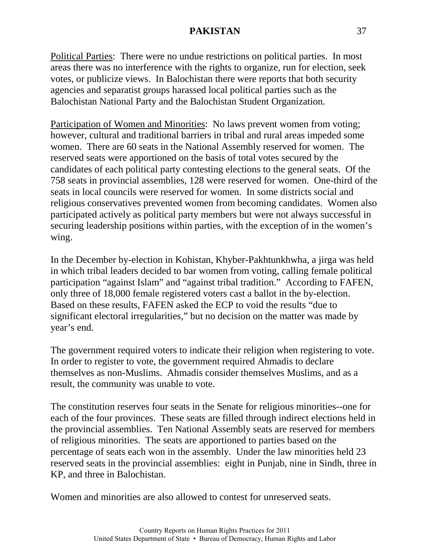Political Parties: There were no undue restrictions on political parties. In most areas there was no interference with the rights to organize, run for election, seek votes, or publicize views. In Balochistan there were reports that both security agencies and separatist groups harassed local political parties such as the Balochistan National Party and the Balochistan Student Organization.

Participation of Women and Minorities: No laws prevent women from voting; however, cultural and traditional barriers in tribal and rural areas impeded some women. There are 60 seats in the National Assembly reserved for women. The reserved seats were apportioned on the basis of total votes secured by the candidates of each political party contesting elections to the general seats. Of the 758 seats in provincial assemblies, 128 were reserved for women. One-third of the seats in local councils were reserved for women. In some districts social and religious conservatives prevented women from becoming candidates. Women also participated actively as political party members but were not always successful in securing leadership positions within parties, with the exception of in the women's wing.

In the December by-election in Kohistan, Khyber-Pakhtunkhwha, a jirga was held in which tribal leaders decided to bar women from voting, calling female political participation "against Islam" and "against tribal tradition." According to FAFEN, only three of 18,000 female registered voters cast a ballot in the by-election. Based on these results, FAFEN asked the ECP to void the results "due to significant electoral irregularities," but no decision on the matter was made by year's end.

The government required voters to indicate their religion when registering to vote. In order to register to vote, the government required Ahmadis to declare themselves as non-Muslims. Ahmadis consider themselves Muslims, and as a result, the community was unable to vote.

The constitution reserves four seats in the Senate for religious minorities--one for each of the four provinces. These seats are filled through indirect elections held in the provincial assemblies. Ten National Assembly seats are reserved for members of religious minorities. The seats are apportioned to parties based on the percentage of seats each won in the assembly. Under the law minorities held 23 reserved seats in the provincial assemblies: eight in Punjab, nine in Sindh, three in KP, and three in Balochistan.

Women and minorities are also allowed to contest for unreserved seats.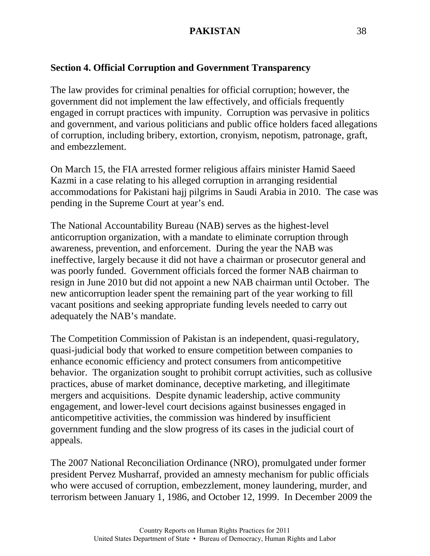### **Section 4. Official Corruption and Government Transparency**

The law provides for criminal penalties for official corruption; however, the government did not implement the law effectively, and officials frequently engaged in corrupt practices with impunity. Corruption was pervasive in politics and government, and various politicians and public office holders faced allegations of corruption, including bribery, extortion, cronyism, nepotism, patronage, graft, and embezzlement.

On March 15, the FIA arrested former religious affairs minister Hamid Saeed Kazmi in a case relating to his alleged corruption in arranging residential accommodations for Pakistani hajj pilgrims in Saudi Arabia in 2010. The case was pending in the Supreme Court at year's end.

The National Accountability Bureau (NAB) serves as the highest-level anticorruption organization, with a mandate to eliminate corruption through awareness, prevention, and enforcement. During the year the NAB was ineffective, largely because it did not have a chairman or prosecutor general and was poorly funded. Government officials forced the former NAB chairman to resign in June 2010 but did not appoint a new NAB chairman until October. The new anticorruption leader spent the remaining part of the year working to fill vacant positions and seeking appropriate funding levels needed to carry out adequately the NAB's mandate.

The Competition Commission of Pakistan is an independent, quasi-regulatory, quasi-judicial body that worked to ensure competition between companies to enhance economic efficiency and protect consumers from anticompetitive behavior. The organization sought to prohibit corrupt activities, such as collusive practices, abuse of market dominance, deceptive marketing, and illegitimate mergers and acquisitions. Despite dynamic leadership, active community engagement, and lower-level court decisions against businesses engaged in anticompetitive activities, the commission was hindered by insufficient government funding and the slow progress of its cases in the judicial court of appeals.

The 2007 National Reconciliation Ordinance (NRO), promulgated under former president Pervez Musharraf, provided an amnesty mechanism for public officials who were accused of corruption, embezzlement, money laundering, murder, and terrorism between January 1, 1986, and October 12, 1999. In December 2009 the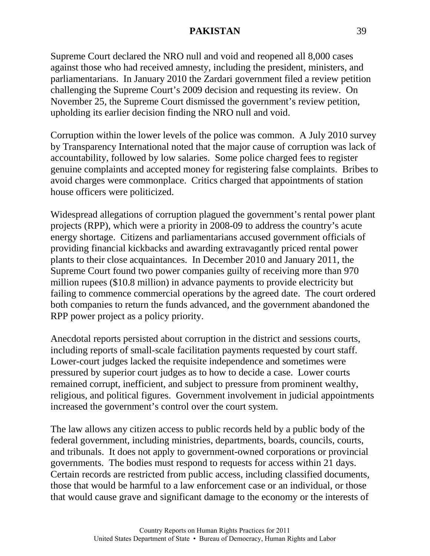Supreme Court declared the NRO null and void and reopened all 8,000 cases against those who had received amnesty, including the president, ministers, and parliamentarians. In January 2010 the Zardari government filed a review petition challenging the Supreme Court's 2009 decision and requesting its review. On November 25, the Supreme Court dismissed the government's review petition, upholding its earlier decision finding the NRO null and void.

Corruption within the lower levels of the police was common. A July 2010 survey by Transparency International noted that the major cause of corruption was lack of accountability, followed by low salaries. Some police charged fees to register genuine complaints and accepted money for registering false complaints. Bribes to avoid charges were commonplace. Critics charged that appointments of station house officers were politicized.

Widespread allegations of corruption plagued the government's rental power plant projects (RPP), which were a priority in 2008-09 to address the country's acute energy shortage. Citizens and parliamentarians accused government officials of providing financial kickbacks and awarding extravagantly priced rental power plants to their close acquaintances. In December 2010 and January 2011, the Supreme Court found two power companies guilty of receiving more than 970 million rupees (\$10.8 million) in advance payments to provide electricity but failing to commence commercial operations by the agreed date. The court ordered both companies to return the funds advanced, and the government abandoned the RPP power project as a policy priority.

Anecdotal reports persisted about corruption in the district and sessions courts, including reports of small-scale facilitation payments requested by court staff. Lower-court judges lacked the requisite independence and sometimes were pressured by superior court judges as to how to decide a case. Lower courts remained corrupt, inefficient, and subject to pressure from prominent wealthy, religious, and political figures. Government involvement in judicial appointments increased the government's control over the court system.

The law allows any citizen access to public records held by a public body of the federal government, including ministries, departments, boards, councils, courts, and tribunals. It does not apply to government-owned corporations or provincial governments. The bodies must respond to requests for access within 21 days. Certain records are restricted from public access, including classified documents, those that would be harmful to a law enforcement case or an individual, or those that would cause grave and significant damage to the economy or the interests of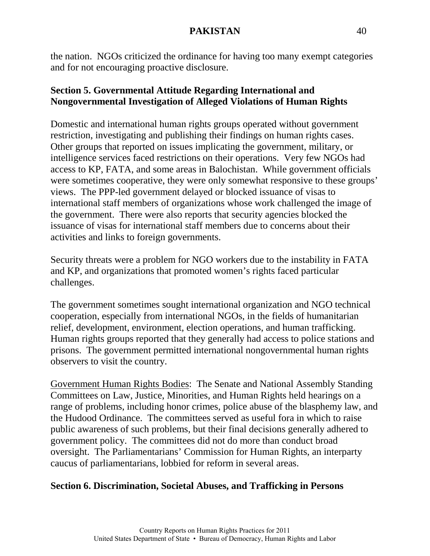the nation. NGOs criticized the ordinance for having too many exempt categories and for not encouraging proactive disclosure.

## **Section 5. Governmental Attitude Regarding International and Nongovernmental Investigation of Alleged Violations of Human Rights**

Domestic and international human rights groups operated without government restriction, investigating and publishing their findings on human rights cases. Other groups that reported on issues implicating the government, military, or intelligence services faced restrictions on their operations. Very few NGOs had access to KP, FATA, and some areas in Balochistan. While government officials were sometimes cooperative, they were only somewhat responsive to these groups' views. The PPP-led government delayed or blocked issuance of visas to international staff members of organizations whose work challenged the image of the government. There were also reports that security agencies blocked the issuance of visas for international staff members due to concerns about their activities and links to foreign governments.

Security threats were a problem for NGO workers due to the instability in FATA and KP, and organizations that promoted women's rights faced particular challenges.

The government sometimes sought international organization and NGO technical cooperation, especially from international NGOs, in the fields of humanitarian relief, development, environment, election operations, and human trafficking. Human rights groups reported that they generally had access to police stations and prisons. The government permitted international nongovernmental human rights observers to visit the country.

Government Human Rights Bodies: The Senate and National Assembly Standing Committees on Law, Justice, Minorities, and Human Rights held hearings on a range of problems, including honor crimes, police abuse of the blasphemy law, and the Hudood Ordinance. The committees served as useful fora in which to raise public awareness of such problems, but their final decisions generally adhered to government policy. The committees did not do more than conduct broad oversight. The Parliamentarians' Commission for Human Rights, an interparty caucus of parliamentarians, lobbied for reform in several areas.

# **Section 6. Discrimination, Societal Abuses, and Trafficking in Persons**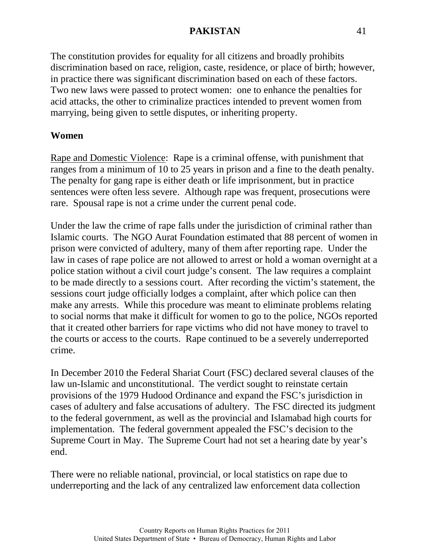The constitution provides for equality for all citizens and broadly prohibits discrimination based on race, religion, caste, residence, or place of birth; however, in practice there was significant discrimination based on each of these factors. Two new laws were passed to protect women: one to enhance the penalties for acid attacks, the other to criminalize practices intended to prevent women from marrying, being given to settle disputes, or inheriting property.

#### **Women**

Rape and Domestic Violence: Rape is a criminal offense, with punishment that ranges from a minimum of 10 to 25 years in prison and a fine to the death penalty. The penalty for gang rape is either death or life imprisonment, but in practice sentences were often less severe. Although rape was frequent, prosecutions were rare. Spousal rape is not a crime under the current penal code.

Under the law the crime of rape falls under the jurisdiction of criminal rather than Islamic courts. The NGO Aurat Foundation estimated that 88 percent of women in prison were convicted of adultery, many of them after reporting rape. Under the law in cases of rape police are not allowed to arrest or hold a woman overnight at a police station without a civil court judge's consent. The law requires a complaint to be made directly to a sessions court. After recording the victim's statement, the sessions court judge officially lodges a complaint, after which police can then make any arrests. While this procedure was meant to eliminate problems relating to social norms that make it difficult for women to go to the police, NGOs reported that it created other barriers for rape victims who did not have money to travel to the courts or access to the courts. Rape continued to be a severely underreported crime.

In December 2010 the Federal Shariat Court (FSC) declared several clauses of the law un-Islamic and unconstitutional. The verdict sought to reinstate certain provisions of the 1979 Hudood Ordinance and expand the FSC's jurisdiction in cases of adultery and false accusations of adultery. The FSC directed its judgment to the federal government, as well as the provincial and Islamabad high courts for implementation. The federal government appealed the FSC's decision to the Supreme Court in May. The Supreme Court had not set a hearing date by year's end.

There were no reliable national, provincial, or local statistics on rape due to underreporting and the lack of any centralized law enforcement data collection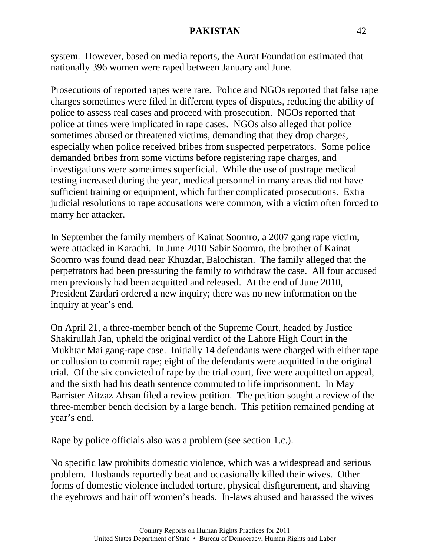system. However, based on media reports, the Aurat Foundation estimated that nationally 396 women were raped between January and June.

Prosecutions of reported rapes were rare. Police and NGOs reported that false rape charges sometimes were filed in different types of disputes, reducing the ability of police to assess real cases and proceed with prosecution. NGOs reported that police at times were implicated in rape cases. NGOs also alleged that police sometimes abused or threatened victims, demanding that they drop charges, especially when police received bribes from suspected perpetrators. Some police demanded bribes from some victims before registering rape charges, and investigations were sometimes superficial. While the use of postrape medical testing increased during the year, medical personnel in many areas did not have sufficient training or equipment, which further complicated prosecutions. Extra judicial resolutions to rape accusations were common, with a victim often forced to marry her attacker.

In September the family members of Kainat Soomro, a 2007 gang rape victim, were attacked in Karachi. In June 2010 Sabir Soomro, the brother of Kainat Soomro was found dead near Khuzdar, Balochistan. The family alleged that the perpetrators had been pressuring the family to withdraw the case. All four accused men previously had been acquitted and released. At the end of June 2010, President Zardari ordered a new inquiry; there was no new information on the inquiry at year's end.

On April 21, a three-member bench of the Supreme Court, headed by Justice Shakirullah Jan, upheld the original verdict of the Lahore High Court in the Mukhtar Mai gang-rape case. Initially 14 defendants were charged with either rape or collusion to commit rape; eight of the defendants were acquitted in the original trial. Of the six convicted of rape by the trial court, five were acquitted on appeal, and the sixth had his death sentence commuted to life imprisonment. In May Barrister Aitzaz Ahsan filed a review petition. The petition sought a review of the three-member bench decision by a large bench. This petition remained pending at year's end.

Rape by police officials also was a problem (see section 1.c.).

No specific law prohibits domestic violence, which was a widespread and serious problem. Husbands reportedly beat and occasionally killed their wives. Other forms of domestic violence included torture, physical disfigurement, and shaving the eyebrows and hair off women's heads. In-laws abused and harassed the wives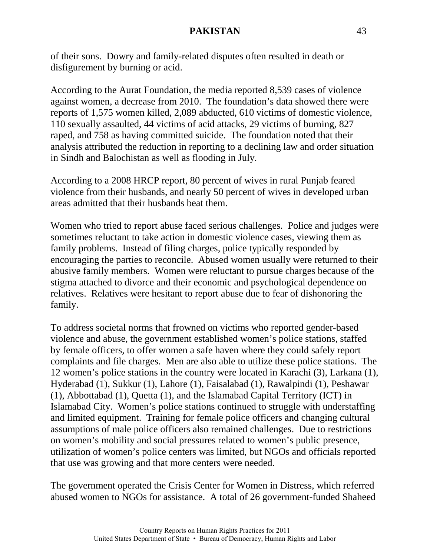of their sons. Dowry and family-related disputes often resulted in death or disfigurement by burning or acid.

According to the Aurat Foundation, the media reported 8,539 cases of violence against women, a decrease from 2010. The foundation's data showed there were reports of 1,575 women killed, 2,089 abducted, 610 victims of domestic violence, 110 sexually assaulted, 44 victims of acid attacks, 29 victims of burning, 827 raped, and 758 as having committed suicide. The foundation noted that their analysis attributed the reduction in reporting to a declining law and order situation in Sindh and Balochistan as well as flooding in July.

According to a 2008 HRCP report, 80 percent of wives in rural Punjab feared violence from their husbands, and nearly 50 percent of wives in developed urban areas admitted that their husbands beat them.

Women who tried to report abuse faced serious challenges. Police and judges were sometimes reluctant to take action in domestic violence cases, viewing them as family problems. Instead of filing charges, police typically responded by encouraging the parties to reconcile. Abused women usually were returned to their abusive family members. Women were reluctant to pursue charges because of the stigma attached to divorce and their economic and psychological dependence on relatives. Relatives were hesitant to report abuse due to fear of dishonoring the family.

To address societal norms that frowned on victims who reported gender-based violence and abuse, the government established women's police stations, staffed by female officers, to offer women a safe haven where they could safely report complaints and file charges. Men are also able to utilize these police stations. The 12 women's police stations in the country were located in Karachi (3), Larkana (1), Hyderabad (1), Sukkur (1), Lahore (1), Faisalabad (1), Rawalpindi (1), Peshawar (1), Abbottabad (1), Quetta (1), and the Islamabad Capital Territory (ICT) in Islamabad City. Women's police stations continued to struggle with understaffing and limited equipment. Training for female police officers and changing cultural assumptions of male police officers also remained challenges. Due to restrictions on women's mobility and social pressures related to women's public presence, utilization of women's police centers was limited, but NGOs and officials reported that use was growing and that more centers were needed.

The government operated the Crisis Center for Women in Distress, which referred abused women to NGOs for assistance. A total of 26 government-funded Shaheed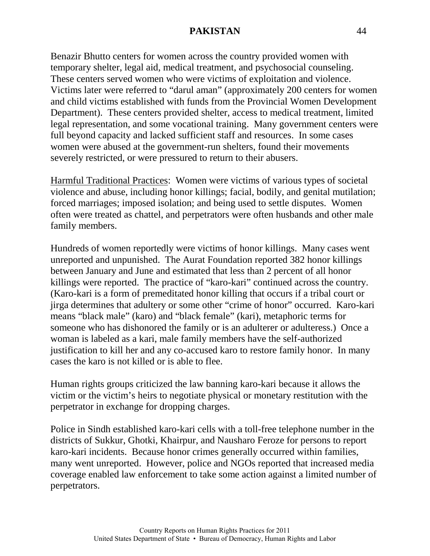Benazir Bhutto centers for women across the country provided women with temporary shelter, legal aid, medical treatment, and psychosocial counseling. These centers served women who were victims of exploitation and violence. Victims later were referred to "darul aman" (approximately 200 centers for women and child victims established with funds from the Provincial Women Development Department). These centers provided shelter, access to medical treatment, limited legal representation, and some vocational training. Many government centers were full beyond capacity and lacked sufficient staff and resources. In some cases women were abused at the government-run shelters, found their movements severely restricted, or were pressured to return to their abusers.

Harmful Traditional Practices: Women were victims of various types of societal violence and abuse, including honor killings; facial, bodily, and genital mutilation; forced marriages; imposed isolation; and being used to settle disputes. Women often were treated as chattel, and perpetrators were often husbands and other male family members.

Hundreds of women reportedly were victims of honor killings. Many cases went unreported and unpunished. The Aurat Foundation reported 382 honor killings between January and June and estimated that less than 2 percent of all honor killings were reported. The practice of "karo-kari" continued across the country. (Karo-kari is a form of premeditated honor killing that occurs if a tribal court or jirga determines that adultery or some other "crime of honor" occurred. Karo-kari means "black male" (karo) and "black female" (kari), metaphoric terms for someone who has dishonored the family or is an adulterer or adulteress.) Once a woman is labeled as a kari, male family members have the self-authorized justification to kill her and any co-accused karo to restore family honor. In many cases the karo is not killed or is able to flee.

Human rights groups criticized the law banning karo-kari because it allows the victim or the victim's heirs to negotiate physical or monetary restitution with the perpetrator in exchange for dropping charges.

Police in Sindh established karo-kari cells with a toll-free telephone number in the districts of Sukkur, Ghotki, Khairpur, and Nausharo Feroze for persons to report karo-kari incidents. Because honor crimes generally occurred within families, many went unreported. However, police and NGOs reported that increased media coverage enabled law enforcement to take some action against a limited number of perpetrators.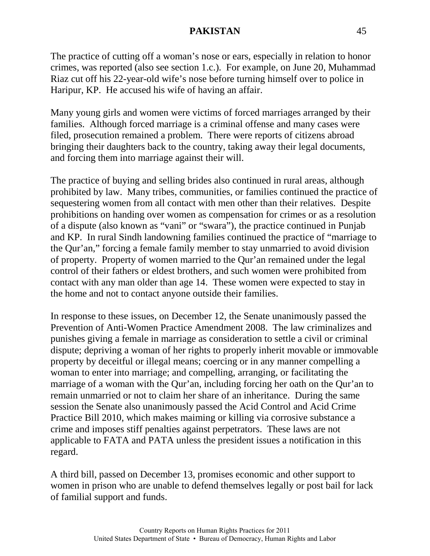The practice of cutting off a woman's nose or ears, especially in relation to honor crimes, was reported (also see section 1.c.). For example, on June 20, Muhammad Riaz cut off his 22-year-old wife's nose before turning himself over to police in Haripur, KP. He accused his wife of having an affair.

Many young girls and women were victims of forced marriages arranged by their families. Although forced marriage is a criminal offense and many cases were filed, prosecution remained a problem. There were reports of citizens abroad bringing their daughters back to the country, taking away their legal documents, and forcing them into marriage against their will.

The practice of buying and selling brides also continued in rural areas, although prohibited by law. Many tribes, communities, or families continued the practice of sequestering women from all contact with men other than their relatives. Despite prohibitions on handing over women as compensation for crimes or as a resolution of a dispute (also known as "vani" or "swara"), the practice continued in Punjab and KP. In rural Sindh landowning families continued the practice of "marriage to the Qur'an," forcing a female family member to stay unmarried to avoid division of property. Property of women married to the Qur'an remained under the legal control of their fathers or eldest brothers, and such women were prohibited from contact with any man older than age 14. These women were expected to stay in the home and not to contact anyone outside their families.

In response to these issues, on December 12, the Senate unanimously passed the Prevention of Anti-Women Practice Amendment 2008. The law criminalizes and punishes giving a female in marriage as consideration to settle a civil or criminal dispute; depriving a woman of her rights to properly inherit movable or immovable property by deceitful or illegal means; coercing or in any manner compelling a woman to enter into marriage; and compelling, arranging, or facilitating the marriage of a woman with the Qur'an, including forcing her oath on the Qur'an to remain unmarried or not to claim her share of an inheritance. During the same session the Senate also unanimously passed the Acid Control and Acid Crime Practice Bill 2010, which makes maiming or killing via corrosive substance a crime and imposes stiff penalties against perpetrators. These laws are not applicable to FATA and PATA unless the president issues a notification in this regard.

A third bill, passed on December 13, promises economic and other support to women in prison who are unable to defend themselves legally or post bail for lack of familial support and funds.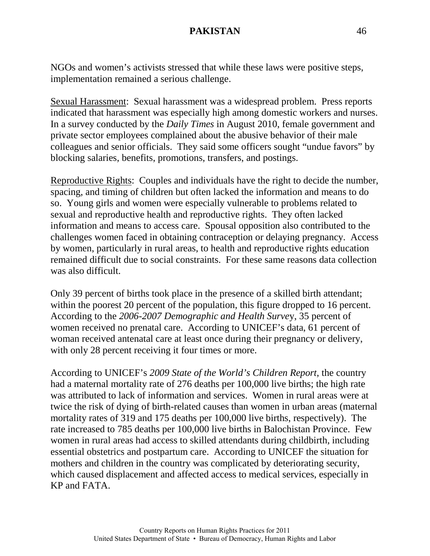NGOs and women's activists stressed that while these laws were positive steps, implementation remained a serious challenge.

Sexual Harassment: Sexual harassment was a widespread problem. Press reports indicated that harassment was especially high among domestic workers and nurses. In a survey conducted by the *Daily Times* in August 2010, female government and private sector employees complained about the abusive behavior of their male colleagues and senior officials. They said some officers sought "undue favors" by blocking salaries, benefits, promotions, transfers, and postings.

Reproductive Rights: Couples and individuals have the right to decide the number, spacing, and timing of children but often lacked the information and means to do so. Young girls and women were especially vulnerable to problems related to sexual and reproductive health and reproductive rights. They often lacked information and means to access care. Spousal opposition also contributed to the challenges women faced in obtaining contraception or delaying pregnancy. Access by women, particularly in rural areas, to health and reproductive rights education remained difficult due to social constraints. For these same reasons data collection was also difficult.

Only 39 percent of births took place in the presence of a skilled birth attendant; within the poorest 20 percent of the population, this figure dropped to 16 percent. According to the *2006-2007 Demographic and Health Surve*y, 35 percent of women received no prenatal care. According to UNICEF's data, 61 percent of woman received antenatal care at least once during their pregnancy or delivery, with only 28 percent receiving it four times or more.

According to UNICEF's *2009 State of the World's Children Report*, the country had a maternal mortality rate of 276 deaths per 100,000 live births; the high rate was attributed to lack of information and services. Women in rural areas were at twice the risk of dying of birth-related causes than women in urban areas (maternal mortality rates of 319 and 175 deaths per 100,000 live births, respectively). The rate increased to 785 deaths per 100,000 live births in Balochistan Province. Few women in rural areas had access to skilled attendants during childbirth, including essential obstetrics and postpartum care. According to UNICEF the situation for mothers and children in the country was complicated by deteriorating security, which caused displacement and affected access to medical services, especially in KP and FATA.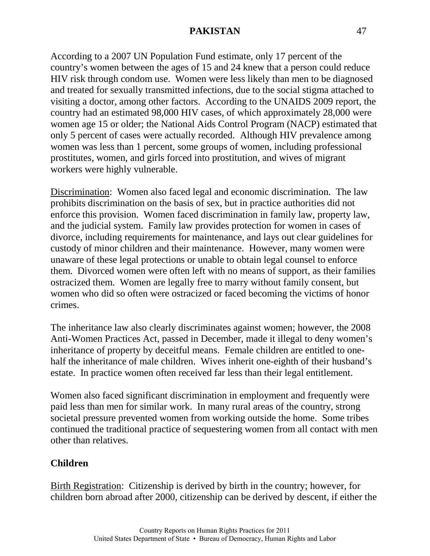According to a 2007 UN Population Fund estimate, only 17 percent of the country's women between the ages of 15 and 24 knew that a person could reduce HIV risk through condom use. Women were less likely than men to be diagnosed and treated for sexually transmitted infections, due to the social stigma attached to visiting a doctor, among other factors. According to the UNAIDS 2009 report, the country had an estimated 98,000 HIV cases, of which approximately 28,000 were women age 15 or older; the National Aids Control Program (NACP) estimated that only 5 percent of cases were actually recorded. Although HIV prevalence among women was less than 1 percent, some groups of women, including professional prostitutes, women, and girls forced into prostitution, and wives of migrant workers were highly vulnerable.

Discrimination: Women also faced legal and economic discrimination. The law prohibits discrimination on the basis of sex, but in practice authorities did not enforce this provision. Women faced discrimination in family law, property law, and the judicial system. Family law provides protection for women in cases of divorce, including requirements for maintenance, and lays out clear guidelines for custody of minor children and their maintenance. However, many women were unaware of these legal protections or unable to obtain legal counsel to enforce them. Divorced women were often left with no means of support, as their families ostracized them. Women are legally free to marry without family consent, but women who did so often were ostracized or faced becoming the victims of honor crimes.

The inheritance law also clearly discriminates against women; however, the 2008 Anti-Women Practices Act, passed in December, made it illegal to deny women's inheritance of property by deceitful means. Female children are entitled to onehalf the inheritance of male children. Wives inherit one-eighth of their husband's estate. In practice women often received far less than their legal entitlement.

Women also faced significant discrimination in employment and frequently were paid less than men for similar work. In many rural areas of the country, strong societal pressure prevented women from working outside the home. Some tribes continued the traditional practice of sequestering women from all contact with men other than relatives.

### **Children**

Birth Registration: Citizenship is derived by birth in the country; however, for children born abroad after 2000, citizenship can be derived by descent, if either the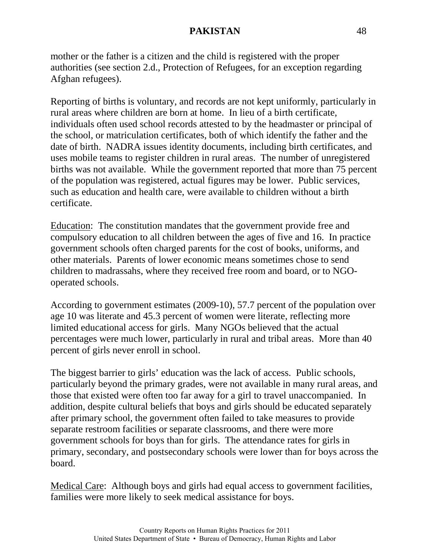mother or the father is a citizen and the child is registered with the proper authorities (see section 2.d., Protection of Refugees, for an exception regarding Afghan refugees).

Reporting of births is voluntary, and records are not kept uniformly, particularly in rural areas where children are born at home. In lieu of a birth certificate, individuals often used school records attested to by the headmaster or principal of the school, or matriculation certificates, both of which identify the father and the date of birth. NADRA issues identity documents, including birth certificates, and uses mobile teams to register children in rural areas. The number of unregistered births was not available. While the government reported that more than 75 percent of the population was registered, actual figures may be lower. Public services, such as education and health care, were available to children without a birth certificate.

Education: The constitution mandates that the government provide free and compulsory education to all children between the ages of five and 16. In practice government schools often charged parents for the cost of books, uniforms, and other materials. Parents of lower economic means sometimes chose to send children to madrassahs, where they received free room and board, or to NGOoperated schools.

According to government estimates (2009-10), 57.7 percent of the population over age 10 was literate and 45.3 percent of women were literate, reflecting more limited educational access for girls. Many NGOs believed that the actual percentages were much lower, particularly in rural and tribal areas. More than 40 percent of girls never enroll in school.

The biggest barrier to girls' education was the lack of access. Public schools, particularly beyond the primary grades, were not available in many rural areas, and those that existed were often too far away for a girl to travel unaccompanied. In addition, despite cultural beliefs that boys and girls should be educated separately after primary school, the government often failed to take measures to provide separate restroom facilities or separate classrooms, and there were more government schools for boys than for girls. The attendance rates for girls in primary, secondary, and postsecondary schools were lower than for boys across the board.

Medical Care: Although boys and girls had equal access to government facilities, families were more likely to seek medical assistance for boys.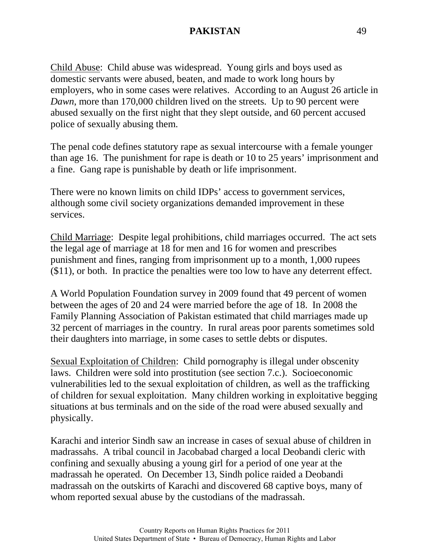Child Abuse: Child abuse was widespread. Young girls and boys used as domestic servants were abused, beaten, and made to work long hours by employers, who in some cases were relatives. According to an August 26 article in *Dawn*, more than 170,000 children lived on the streets. Up to 90 percent were abused sexually on the first night that they slept outside, and 60 percent accused police of sexually abusing them.

The penal code defines statutory rape as sexual intercourse with a female younger than age 16. The punishment for rape is death or 10 to 25 years' imprisonment and a fine. Gang rape is punishable by death or life imprisonment.

There were no known limits on child IDPs' access to government services, although some civil society organizations demanded improvement in these services.

Child Marriage: Despite legal prohibitions, child marriages occurred. The act sets the legal age of marriage at 18 for men and 16 for women and prescribes punishment and fines, ranging from imprisonment up to a month, 1,000 rupees (\$11), or both. In practice the penalties were too low to have any deterrent effect.

A World Population Foundation survey in 2009 found that 49 percent of women between the ages of 20 and 24 were married before the age of 18. In 2008 the Family Planning Association of Pakistan estimated that child marriages made up 32 percent of marriages in the country. In rural areas poor parents sometimes sold their daughters into marriage, in some cases to settle debts or disputes.

Sexual Exploitation of Children: Child pornography is illegal under obscenity laws. Children were sold into prostitution (see section 7.c.). Socioeconomic vulnerabilities led to the sexual exploitation of children, as well as the trafficking of children for sexual exploitation. Many children working in exploitative begging situations at bus terminals and on the side of the road were abused sexually and physically.

Karachi and interior Sindh saw an increase in cases of sexual abuse of children in madrassahs. A tribal council in Jacobabad charged a local Deobandi cleric with confining and sexually abusing a young girl for a period of one year at the madrassah he operated. On December 13, Sindh police raided a Deobandi madrassah on the outskirts of Karachi and discovered 68 captive boys, many of whom reported sexual abuse by the custodians of the madrassah.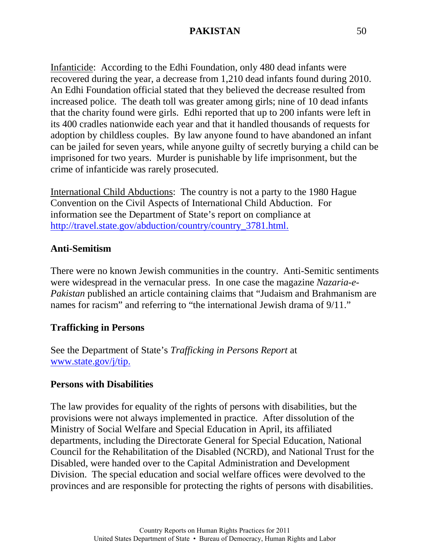Infanticide: According to the Edhi Foundation, only 480 dead infants were recovered during the year, a decrease from 1,210 dead infants found during 2010. An Edhi Foundation official stated that they believed the decrease resulted from increased police. The death toll was greater among girls; nine of 10 dead infants that the charity found were girls. Edhi reported that up to 200 infants were left in its 400 cradles nationwide each year and that it handled thousands of requests for adoption by childless couples. By law anyone found to have abandoned an infant can be jailed for seven years, while anyone guilty of secretly burying a child can be imprisoned for two years. Murder is punishable by life imprisonment, but the crime of infanticide was rarely prosecuted.

International Child Abductions: The country is not a party to the 1980 Hague Convention on the Civil Aspects of International Child Abduction. For information see the Department of State's report on compliance at [http://travel.state.gov/abduction/country/country\\_3781.html.](http://travel.state.gov/abduction/country/country_3781.html)

### **Anti-Semitism**

There were no known Jewish communities in the country. Anti-Semitic sentiments were widespread in the vernacular press. In one case the magazine *Nazaria-e-Pakistan* published an article containing claims that "Judaism and Brahmanism are names for racism" and referring to "the international Jewish drama of 9/11."

### **Trafficking in Persons**

See the Department of State's *Trafficking in Persons Report* at [www.state.gov/j/tip.](http://www.state.gov/j/tip)

#### **Persons with Disabilities**

The law provides for equality of the rights of persons with disabilities, but the provisions were not always implemented in practice. After dissolution of the Ministry of Social Welfare and Special Education in April, its affiliated departments, including the Directorate General for Special Education, National Council for the Rehabilitation of the Disabled (NCRD), and National Trust for the Disabled, were handed over to the Capital Administration and Development Division. The special education and social welfare offices were devolved to the provinces and are responsible for protecting the rights of persons with disabilities.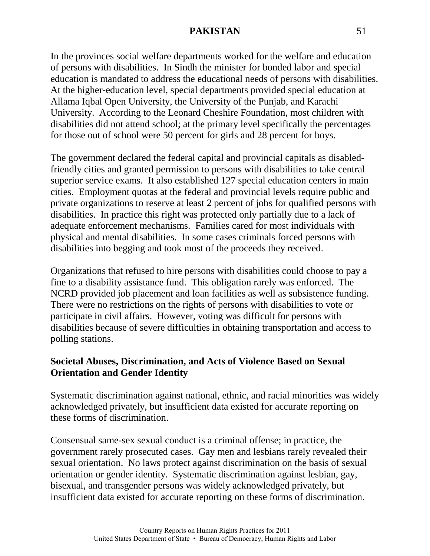In the provinces social welfare departments worked for the welfare and education of persons with disabilities. In Sindh the minister for bonded labor and special education is mandated to address the educational needs of persons with disabilities. At the higher-education level, special departments provided special education at Allama Iqbal Open University, the University of the Punjab, and Karachi University. According to the Leonard Cheshire Foundation, most children with disabilities did not attend school; at the primary level specifically the percentages for those out of school were 50 percent for girls and 28 percent for boys.

The government declared the federal capital and provincial capitals as disabledfriendly cities and granted permission to persons with disabilities to take central superior service exams. It also established 127 special education centers in main cities. Employment quotas at the federal and provincial levels require public and private organizations to reserve at least 2 percent of jobs for qualified persons with disabilities. In practice this right was protected only partially due to a lack of adequate enforcement mechanisms. Families cared for most individuals with physical and mental disabilities. In some cases criminals forced persons with disabilities into begging and took most of the proceeds they received.

Organizations that refused to hire persons with disabilities could choose to pay a fine to a disability assistance fund. This obligation rarely was enforced. The NCRD provided job placement and loan facilities as well as subsistence funding. There were no restrictions on the rights of persons with disabilities to vote or participate in civil affairs. However, voting was difficult for persons with disabilities because of severe difficulties in obtaining transportation and access to polling stations.

#### **Societal Abuses, Discrimination, and Acts of Violence Based on Sexual Orientation and Gender Identity**

Systematic discrimination against national, ethnic, and racial minorities was widely acknowledged privately, but insufficient data existed for accurate reporting on these forms of discrimination.

Consensual same-sex sexual conduct is a criminal offense; in practice, the government rarely prosecuted cases. Gay men and lesbians rarely revealed their sexual orientation. No laws protect against discrimination on the basis of sexual orientation or gender identity. Systematic discrimination against lesbian, gay, bisexual, and transgender persons was widely acknowledged privately, but insufficient data existed for accurate reporting on these forms of discrimination.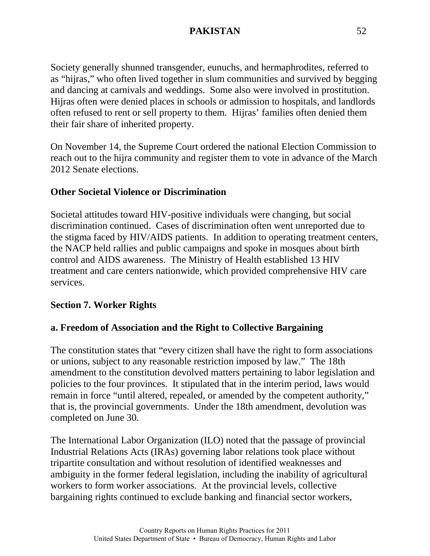Society generally shunned transgender, eunuchs, and hermaphrodites, referred to as "hijras," who often lived together in slum communities and survived by begging and dancing at carnivals and weddings. Some also were involved in prostitution. Hijras often were denied places in schools or admission to hospitals, and landlords often refused to rent or sell property to them. Hijras' families often denied them their fair share of inherited property.

On November 14, the Supreme Court ordered the national Election Commission to reach out to the hijra community and register them to vote in advance of the March 2012 Senate elections.

# **Other Societal Violence or Discrimination**

Societal attitudes toward HIV-positive individuals were changing, but social discrimination continued. Cases of discrimination often went unreported due to the stigma faced by HIV/AIDS patients. In addition to operating treatment centers, the NACP held rallies and public campaigns and spoke in mosques about birth control and AIDS awareness. The Ministry of Health established 13 HIV treatment and care centers nationwide, which provided comprehensive HIV care services.

### **Section 7. Worker Rights**

# **a. Freedom of Association and the Right to Collective Bargaining**

The constitution states that "every citizen shall have the right to form associations or unions, subject to any reasonable restriction imposed by law." The 18th amendment to the constitution devolved matters pertaining to labor legislation and policies to the four provinces. It stipulated that in the interim period, laws would remain in force "until altered, repealed, or amended by the competent authority," that is, the provincial governments. Under the 18th amendment, devolution was completed on June 30.

The International Labor Organization (ILO) noted that the passage of provincial Industrial Relations Acts (IRAs) governing labor relations took place without tripartite consultation and without resolution of identified weaknesses and ambiguity in the former federal legislation, including the inability of agricultural workers to form worker associations. At the provincial levels, collective bargaining rights continued to exclude banking and financial sector workers,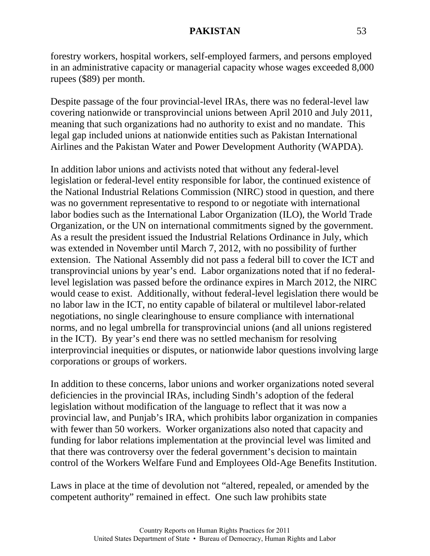forestry workers, hospital workers, self-employed farmers, and persons employed in an administrative capacity or managerial capacity whose wages exceeded 8,000 rupees (\$89) per month.

Despite passage of the four provincial-level IRAs, there was no federal-level law covering nationwide or transprovincial unions between April 2010 and July 2011, meaning that such organizations had no authority to exist and no mandate. This legal gap included unions at nationwide entities such as Pakistan International Airlines and the Pakistan Water and Power Development Authority (WAPDA).

In addition labor unions and activists noted that without any federal-level legislation or federal-level entity responsible for labor, the continued existence of the National Industrial Relations Commission (NIRC) stood in question, and there was no government representative to respond to or negotiate with international labor bodies such as the International Labor Organization (ILO), the World Trade Organization, or the UN on international commitments signed by the government. As a result the president issued the Industrial Relations Ordinance in July, which was extended in November until March 7, 2012, with no possibility of further extension. The National Assembly did not pass a federal bill to cover the ICT and transprovincial unions by year's end. Labor organizations noted that if no federallevel legislation was passed before the ordinance expires in March 2012, the NIRC would cease to exist. Additionally, without federal-level legislation there would be no labor law in the ICT, no entity capable of bilateral or multilevel labor-related negotiations, no single clearinghouse to ensure compliance with international norms, and no legal umbrella for transprovincial unions (and all unions registered in the ICT). By year's end there was no settled mechanism for resolving interprovincial inequities or disputes, or nationwide labor questions involving large corporations or groups of workers.

In addition to these concerns, labor unions and worker organizations noted several deficiencies in the provincial IRAs, including Sindh's adoption of the federal legislation without modification of the language to reflect that it was now a provincial law, and Punjab's IRA, which prohibits labor organization in companies with fewer than 50 workers. Worker organizations also noted that capacity and funding for labor relations implementation at the provincial level was limited and that there was controversy over the federal government's decision to maintain control of the Workers Welfare Fund and Employees Old-Age Benefits Institution.

Laws in place at the time of devolution not "altered, repealed, or amended by the competent authority" remained in effect. One such law prohibits state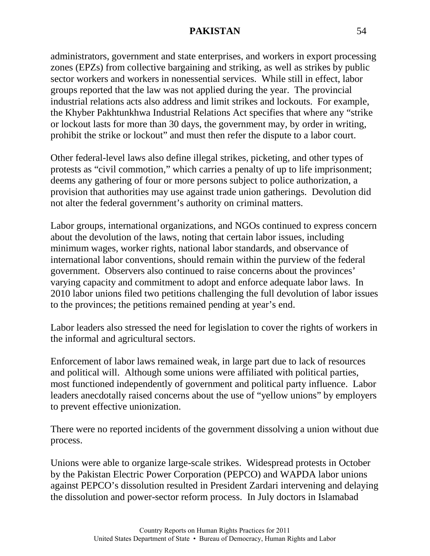administrators, government and state enterprises, and workers in export processing zones (EPZs) from collective bargaining and striking, as well as strikes by public sector workers and workers in nonessential services. While still in effect, labor groups reported that the law was not applied during the year. The provincial industrial relations acts also address and limit strikes and lockouts. For example, the Khyber Pakhtunkhwa Industrial Relations Act specifies that where any "strike or lockout lasts for more than 30 days, the government may, by order in writing, prohibit the strike or lockout" and must then refer the dispute to a labor court.

Other federal-level laws also define illegal strikes, picketing, and other types of protests as "civil commotion," which carries a penalty of up to life imprisonment; deems any gathering of four or more persons subject to police authorization, a provision that authorities may use against trade union gatherings. Devolution did not alter the federal government's authority on criminal matters.

Labor groups, international organizations, and NGOs continued to express concern about the devolution of the laws, noting that certain labor issues, including minimum wages, worker rights, national labor standards, and observance of international labor conventions, should remain within the purview of the federal government. Observers also continued to raise concerns about the provinces' varying capacity and commitment to adopt and enforce adequate labor laws. In 2010 labor unions filed two petitions challenging the full devolution of labor issues to the provinces; the petitions remained pending at year's end.

Labor leaders also stressed the need for legislation to cover the rights of workers in the informal and agricultural sectors.

Enforcement of labor laws remained weak, in large part due to lack of resources and political will. Although some unions were affiliated with political parties, most functioned independently of government and political party influence. Labor leaders anecdotally raised concerns about the use of "yellow unions" by employers to prevent effective unionization.

There were no reported incidents of the government dissolving a union without due process.

Unions were able to organize large-scale strikes. Widespread protests in October by the Pakistan Electric Power Corporation (PEPCO) and WAPDA labor unions against PEPCO's dissolution resulted in President Zardari intervening and delaying the dissolution and power-sector reform process. In July doctors in Islamabad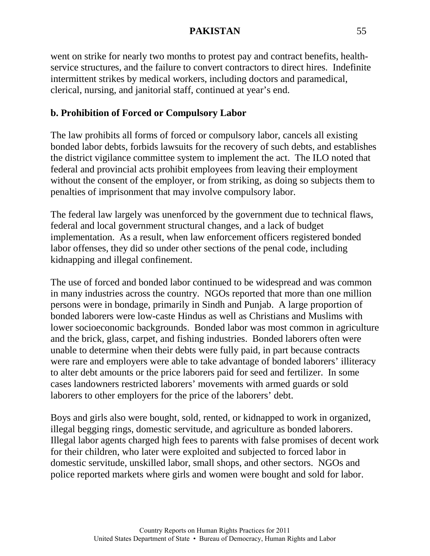went on strike for nearly two months to protest pay and contract benefits, healthservice structures, and the failure to convert contractors to direct hires. Indefinite intermittent strikes by medical workers, including doctors and paramedical, clerical, nursing, and janitorial staff, continued at year's end.

# **b. Prohibition of Forced or Compulsory Labor**

The law prohibits all forms of forced or compulsory labor, cancels all existing bonded labor debts, forbids lawsuits for the recovery of such debts, and establishes the district vigilance committee system to implement the act. The ILO noted that federal and provincial acts prohibit employees from leaving their employment without the consent of the employer, or from striking, as doing so subjects them to penalties of imprisonment that may involve compulsory labor.

The federal law largely was unenforced by the government due to technical flaws, federal and local government structural changes, and a lack of budget implementation. As a result, when law enforcement officers registered bonded labor offenses, they did so under other sections of the penal code, including kidnapping and illegal confinement.

The use of forced and bonded labor continued to be widespread and was common in many industries across the country. NGOs reported that more than one million persons were in bondage, primarily in Sindh and Punjab. A large proportion of bonded laborers were low-caste Hindus as well as Christians and Muslims with lower socioeconomic backgrounds. Bonded labor was most common in agriculture and the brick, glass, carpet, and fishing industries. Bonded laborers often were unable to determine when their debts were fully paid, in part because contracts were rare and employers were able to take advantage of bonded laborers' illiteracy to alter debt amounts or the price laborers paid for seed and fertilizer. In some cases landowners restricted laborers' movements with armed guards or sold laborers to other employers for the price of the laborers' debt.

Boys and girls also were bought, sold, rented, or kidnapped to work in organized, illegal begging rings, domestic servitude, and agriculture as bonded laborers. Illegal labor agents charged high fees to parents with false promises of decent work for their children, who later were exploited and subjected to forced labor in domestic servitude, unskilled labor, small shops, and other sectors. NGOs and police reported markets where girls and women were bought and sold for labor.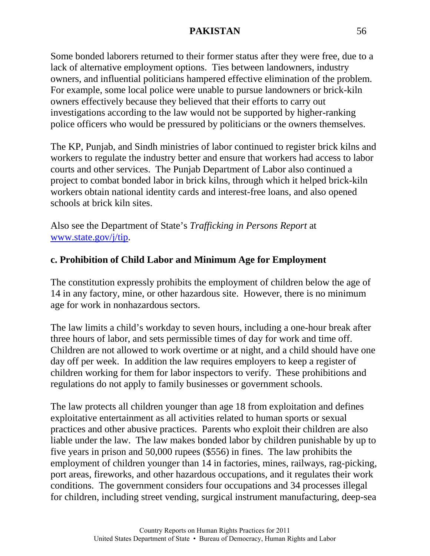Some bonded laborers returned to their former status after they were free, due to a lack of alternative employment options. Ties between landowners, industry owners, and influential politicians hampered effective elimination of the problem. For example, some local police were unable to pursue landowners or brick-kiln owners effectively because they believed that their efforts to carry out investigations according to the law would not be supported by higher-ranking police officers who would be pressured by politicians or the owners themselves.

The KP, Punjab, and Sindh ministries of labor continued to register brick kilns and workers to regulate the industry better and ensure that workers had access to labor courts and other services. The Punjab Department of Labor also continued a project to combat bonded labor in brick kilns, through which it helped brick-kiln workers obtain national identity cards and interest-free loans, and also opened schools at brick kiln sites.

Also see the Department of State's *Trafficking in Persons Report* at [www.state.gov/j/tip.](http://www.state.gov/j/tip)

# **c. Prohibition of Child Labor and Minimum Age for Employment**

The constitution expressly prohibits the employment of children below the age of 14 in any factory, mine, or other hazardous site. However, there is no minimum age for work in nonhazardous sectors.

The law limits a child's workday to seven hours, including a one-hour break after three hours of labor, and sets permissible times of day for work and time off. Children are not allowed to work overtime or at night, and a child should have one day off per week. In addition the law requires employers to keep a register of children working for them for labor inspectors to verify. These prohibitions and regulations do not apply to family businesses or government schools.

The law protects all children younger than age 18 from exploitation and defines exploitative entertainment as all activities related to human sports or sexual practices and other abusive practices. Parents who exploit their children are also liable under the law. The law makes bonded labor by children punishable by up to five years in prison and 50,000 rupees (\$556) in fines. The law prohibits the employment of children younger than 14 in factories, mines, railways, rag-picking, port areas, fireworks, and other hazardous occupations, and it regulates their work conditions. The government considers four occupations and 34 processes illegal for children, including street vending, surgical instrument manufacturing, deep-sea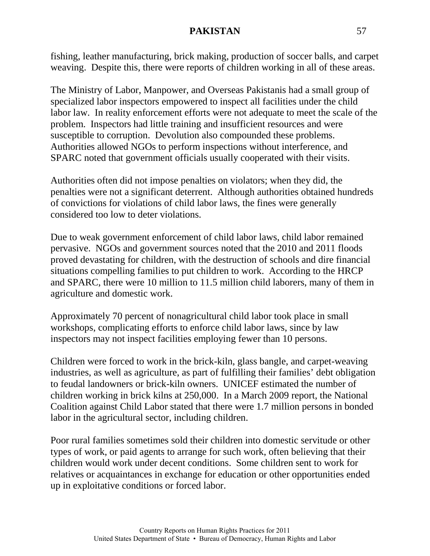fishing, leather manufacturing, brick making, production of soccer balls, and carpet weaving. Despite this, there were reports of children working in all of these areas.

The Ministry of Labor, Manpower, and Overseas Pakistanis had a small group of specialized labor inspectors empowered to inspect all facilities under the child labor law. In reality enforcement efforts were not adequate to meet the scale of the problem. Inspectors had little training and insufficient resources and were susceptible to corruption. Devolution also compounded these problems. Authorities allowed NGOs to perform inspections without interference, and SPARC noted that government officials usually cooperated with their visits.

Authorities often did not impose penalties on violators; when they did, the penalties were not a significant deterrent. Although authorities obtained hundreds of convictions for violations of child labor laws, the fines were generally considered too low to deter violations.

Due to weak government enforcement of child labor laws, child labor remained pervasive. NGOs and government sources noted that the 2010 and 2011 floods proved devastating for children, with the destruction of schools and dire financial situations compelling families to put children to work. According to the HRCP and SPARC, there were 10 million to 11.5 million child laborers, many of them in agriculture and domestic work.

Approximately 70 percent of nonagricultural child labor took place in small workshops, complicating efforts to enforce child labor laws, since by law inspectors may not inspect facilities employing fewer than 10 persons.

Children were forced to work in the brick-kiln, glass bangle, and carpet-weaving industries, as well as agriculture, as part of fulfilling their families' debt obligation to feudal landowners or brick-kiln owners. UNICEF estimated the number of children working in brick kilns at 250,000. In a March 2009 report, the National Coalition against Child Labor stated that there were 1.7 million persons in bonded labor in the agricultural sector, including children.

Poor rural families sometimes sold their children into domestic servitude or other types of work, or paid agents to arrange for such work, often believing that their children would work under decent conditions. Some children sent to work for relatives or acquaintances in exchange for education or other opportunities ended up in exploitative conditions or forced labor.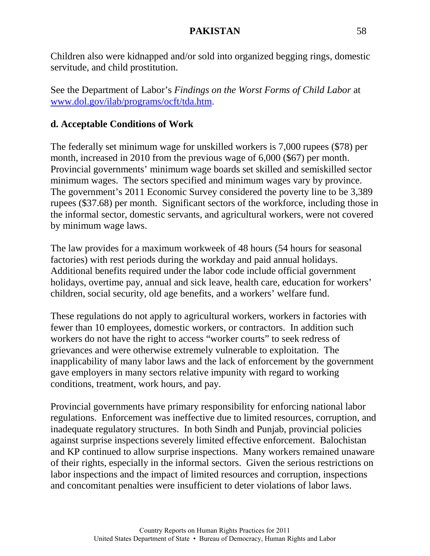Children also were kidnapped and/or sold into organized begging rings, domestic servitude, and child prostitution.

See the Department of Labor's *Findings on the Worst Forms of Child Labor* at [www.dol.gov/ilab/programs/ocft/tda.htm.](http://www.dol.gov/ilab/programs/ocft/tda/htm)

#### **d. Acceptable Conditions of Work**

The federally set minimum wage for unskilled workers is 7,000 rupees (\$78) per month, increased in 2010 from the previous wage of 6,000 (\$67) per month. Provincial governments' minimum wage boards set skilled and semiskilled sector minimum wages. The sectors specified and minimum wages vary by province. The government's 2011 Economic Survey considered the poverty line to be 3,389 rupees (\$37.68) per month. Significant sectors of the workforce, including those in the informal sector, domestic servants, and agricultural workers, were not covered by minimum wage laws.

The law provides for a maximum workweek of 48 hours (54 hours for seasonal factories) with rest periods during the workday and paid annual holidays. Additional benefits required under the labor code include official government holidays, overtime pay, annual and sick leave, health care, education for workers' children, social security, old age benefits, and a workers' welfare fund.

These regulations do not apply to agricultural workers, workers in factories with fewer than 10 employees, domestic workers, or contractors. In addition such workers do not have the right to access "worker courts" to seek redress of grievances and were otherwise extremely vulnerable to exploitation. The inapplicability of many labor laws and the lack of enforcement by the government gave employers in many sectors relative impunity with regard to working conditions, treatment, work hours, and pay.

Provincial governments have primary responsibility for enforcing national labor regulations. Enforcement was ineffective due to limited resources, corruption, and inadequate regulatory structures. In both Sindh and Punjab, provincial policies against surprise inspections severely limited effective enforcement. Balochistan and KP continued to allow surprise inspections. Many workers remained unaware of their rights, especially in the informal sectors. Given the serious restrictions on labor inspections and the impact of limited resources and corruption, inspections and concomitant penalties were insufficient to deter violations of labor laws.